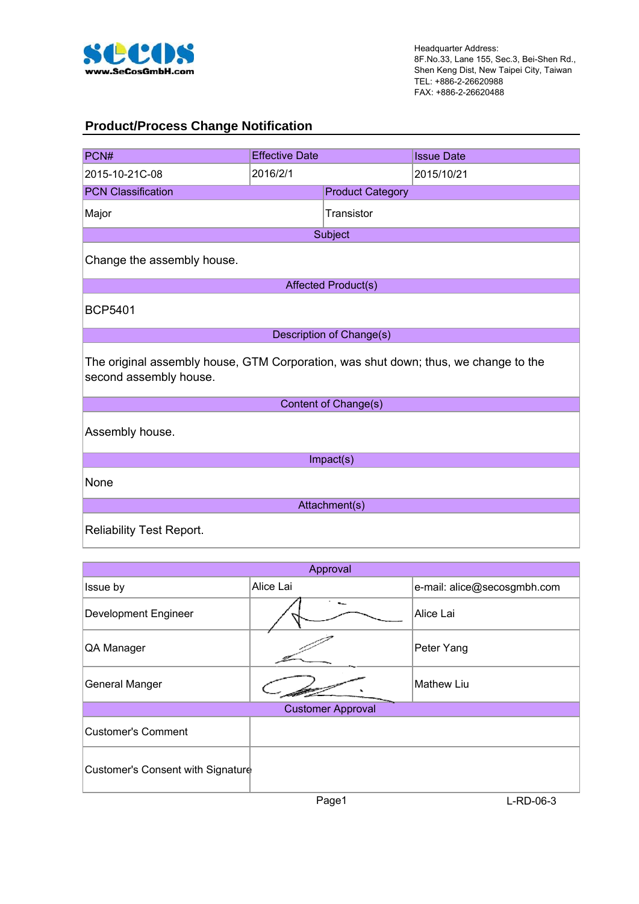

#### **Product/Process Change Notification**

| PCN#                                                                                                          | <b>Effective Date</b> |                          | <b>Issue Date</b> |  |  |  |  |  |
|---------------------------------------------------------------------------------------------------------------|-----------------------|--------------------------|-------------------|--|--|--|--|--|
| 2015-10-21C-08                                                                                                | 2016/2/1              |                          | 2015/10/21        |  |  |  |  |  |
| <b>PCN Classification</b>                                                                                     |                       | <b>Product Category</b>  |                   |  |  |  |  |  |
| Major                                                                                                         |                       | Transistor               |                   |  |  |  |  |  |
|                                                                                                               |                       | Subject                  |                   |  |  |  |  |  |
| Change the assembly house.                                                                                    |                       |                          |                   |  |  |  |  |  |
|                                                                                                               |                       | Affected Product(s)      |                   |  |  |  |  |  |
| <b>BCP5401</b>                                                                                                |                       |                          |                   |  |  |  |  |  |
|                                                                                                               |                       | Description of Change(s) |                   |  |  |  |  |  |
| The original assembly house, GTM Corporation, was shut down; thus, we change to the<br>second assembly house. |                       |                          |                   |  |  |  |  |  |
|                                                                                                               |                       | Content of Change(s)     |                   |  |  |  |  |  |
| Assembly house.                                                                                               |                       |                          |                   |  |  |  |  |  |
|                                                                                                               |                       | Impact(s)                |                   |  |  |  |  |  |
| None                                                                                                          |                       |                          |                   |  |  |  |  |  |
| Attachment(s)                                                                                                 |                       |                          |                   |  |  |  |  |  |
| <b>Reliability Test Report.</b>                                                                               |                       |                          |                   |  |  |  |  |  |

| Approval                          |                          |                             |  |  |  |  |
|-----------------------------------|--------------------------|-----------------------------|--|--|--|--|
| Issue by                          | Alice Lai                | e-mail: alice@secosgmbh.com |  |  |  |  |
| <b>Development Engineer</b>       |                          | Alice Lai                   |  |  |  |  |
| QA Manager                        |                          | Peter Yang                  |  |  |  |  |
| <b>General Manger</b>             |                          | <b>Mathew Liu</b>           |  |  |  |  |
|                                   | <b>Customer Approval</b> |                             |  |  |  |  |
| <b>Customer's Comment</b>         |                          |                             |  |  |  |  |
| Customer's Consent with Signature |                          |                             |  |  |  |  |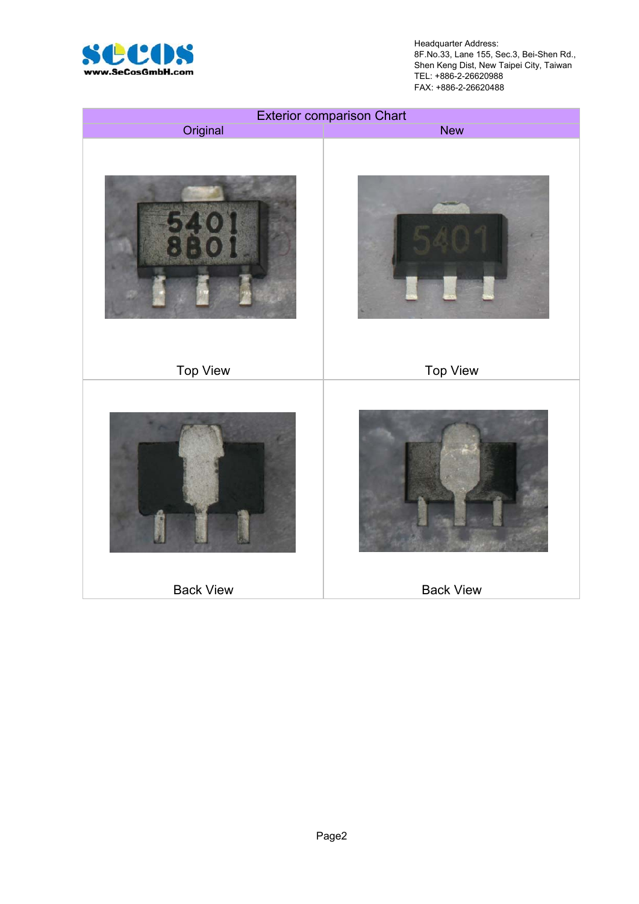

Headquarter Address: 8F.No.33, Lane 155, Sec.3, Bei-Shen Rd., Shen Keng Dist, New Taipei City, Taiwan TEL: +886-2-26620988 FAX: +886-2-26620488

|                  | <b>Exterior comparison Chart</b> |
|------------------|----------------------------------|
| Original         | <b>New</b>                       |
|                  |                                  |
| <b>Top View</b>  | <b>Top View</b>                  |
|                  |                                  |
| <b>Back View</b> | <b>Back View</b>                 |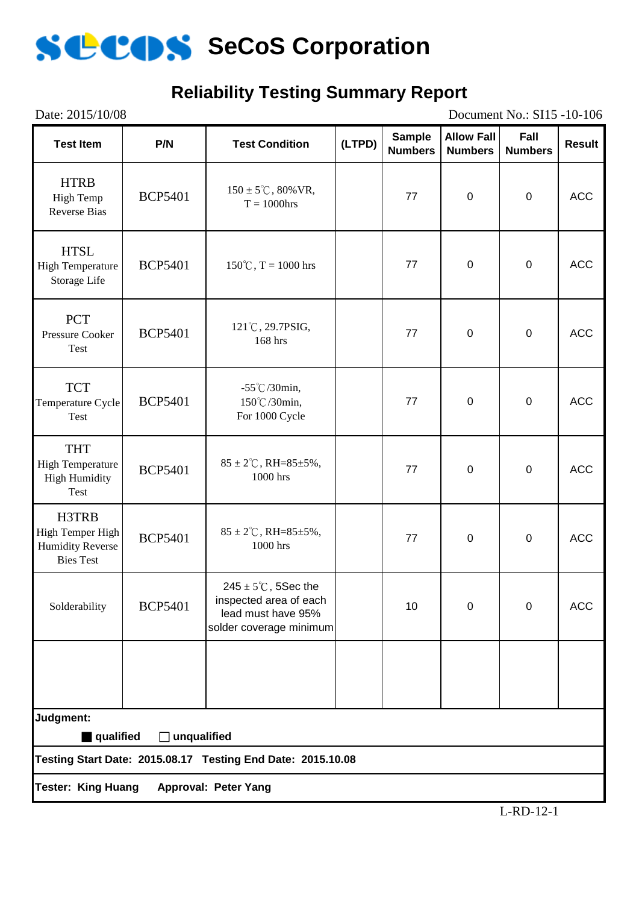

#### **Reliability Testing Summary Report**

Date: 2015/10/08 Document No.: SI15 -10-106 **Test Item P/N Test Condition (LTPD) Sample Numbers Allow Fall Numbers Fall Numbers Result** HTRB High Temp Reverse Bias BCP5401  $150 \pm 5^{\circ}$ C, 80% VR,<br>T = 1000hrs  $T = 1000 \text{hrs}$  77 0 0 ACC HTSL High Temperature Storage Life BCP5401 |  $150^{\circ}$ C, T = 1000 hrs | 77 | 0 | 0 | ACC **PCT** Pressure Cooker Test BCP5401  $121^{\circ}$ C, 29.7PSIG,<br>168 hrs  $168 \text{ hrs}$ , 168 hrs 168 and 168 hrs 168 hrs 168 and 168 hrs 168 and 177 and 189 and 189 and 189 and 189 and 189 and 189 and 189 and 189 and 189 and 189 and 189 and 189 and 189 and 189 and 189 and 189 and 189 and 189 and 1 **TCT** Temperature Cycle Test BCP5401 -55℃/30min, 150℃/30min, For 1000 Cycle 77 | 0 | 0 | ACC THT High Temperature High Humidity Test BCP5401 85 ± 2°C, RH=85±5%,<br>1000 hrs  $1000 \text{ hrs}$  1000 hrs 1000 hrs 1000 hrs 1000 hrs 1000 hrs 1000 hrs 100  $\frac{1}{2}$  1000 hrs 100  $\frac{1}{2}$  1000 hrs 100  $\frac{1}{2}$  1000 hrs 100  $\frac{1}{2}$  1000 hrs 100  $\frac{1}{2}$  100  $\frac{1}{2}$  100  $\frac{1}{2}$  100  $\frac{1}{2}$  100  $\frac$ H3TRB High Temper High Humidity Reverse Bies Test BCP5401 85 ± 2°C, RH=85±5%,<br>1000 hrs  $1000 \text{ hrs}$  1000 hrs 1000 hrs 1000 hrs 1000 hrs 1000 hrs 1000 hrs 100  $\frac{1}{2}$  1000 hrs 100  $\frac{1}{2}$  1000 hrs 100  $\frac{1}{2}$  1000 hrs 100  $\frac{1}{2}$  1000 hrs 100  $\frac{1}{2}$  100  $\frac{1}{2}$  100  $\frac{1}{2}$  100  $\frac{1}{2}$  100  $\frac$ Solderability BCP5401  $245 \pm 5^{\circ}$ C, 5Sec the inspected area of each lead must have 95% solder coverage minimum 10 | 0 | 0 | ACC **Testing Start Date: 2015.08.17 Testing End Date: 2015.10.08 Tester: King Huang Approval: Peter Yang Judgment:** ■ qualified □ unqualified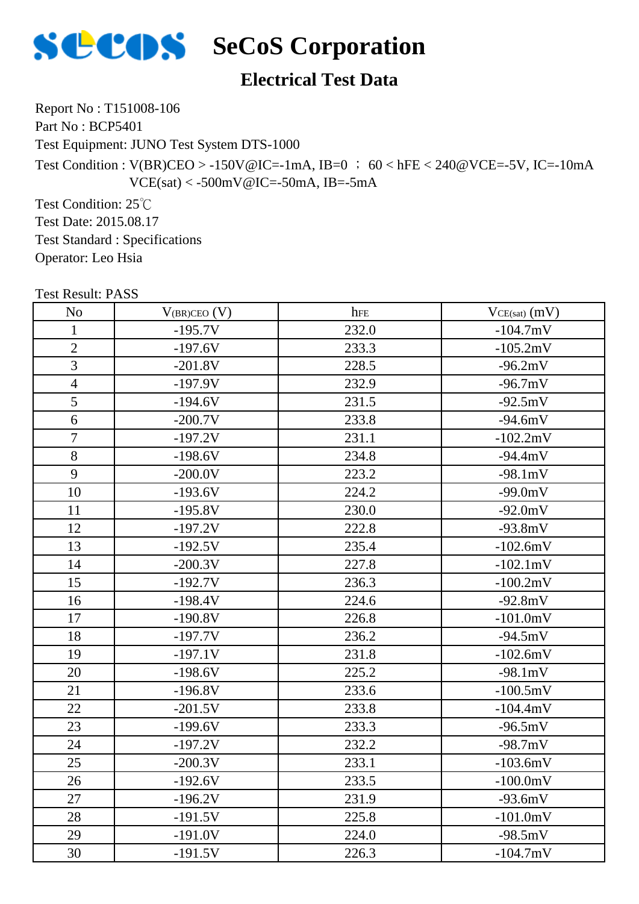

#### **Electrical Test Data**

Report No : T151008-106

Part No : BCP5401

Test Equipment: JUNO Test System DTS-1000

Test Condition :  $V(BR)CEO > -150V@IC = -1mA$ , IB=0 ; 60 < hFE < 240@VCE=-5V, IC=-10mA  $VCE(sat) < -500mV@IC = -50mA$ , IB=-5mA

Test Condition: 25℃ Test Date: 2015.08.17 Test Standard : Specifications Operator: Leo Hsia

No V(BR)CEO (V) hFE VCE(sat) (mV) 1  $-195.7V$  232.0  $-104.7mV$ 2  $-197.6V$  233.3  $-105.2mV$ 3  $-201.8V$  228.5  $-96.2mV$ 4  $-197.9V$  232.9  $-96.7mV$ 5  $-194.6V$  231.5  $-92.5mV$ 6 -200.7V 233.8 -94.6mV 7 | -197.2V | 231.1 | -102.2mV 8  $-198.6V$  234.8  $-94.4mV$ 9  $-200.0V$  223.2  $-98.1mV$ 10 | -193.6V | 224.2 | -99.0mV 11 | -195.8V | 230.0 | -92.0mV 12 | -197.2V | 222.8 | -93.8mV 13  $-192.5V$  235.4  $-102.6mV$ 14 | -200.3V | 227.8 | -102.1mV 15  $-192.7V$  236.3  $-100.2mV$ 16 | -198.4V | 224.6 | -92.8mV 17 | -190.8V | 226.8 | -101.0mV 18 | -197.7V | 236.2 | -94.5mV 19 | -197.1V | 231.8 | -102.6mV 20 | -198.6V | 225.2 | -98.1mV 21 | -196.8V | 233.6 | -100.5mV 22 | -201.5V | 233.8 | -104.4mV 23 | -199.6V | 233.3 | -96.5mV 24 | -197.2V | 232.2 | -98.7mV 25 -200.3V 233.1 -103.6mV 26 | -192.6V | 233.5 | -100.0mV 27 | -196.2V | 231.9 | -93.6mV

28 | -191.5V | 225.8 | -101.0mV 29 | -191.0V | 224.0 | -98.5mV 30 -191.5V 226.3 -104.7mV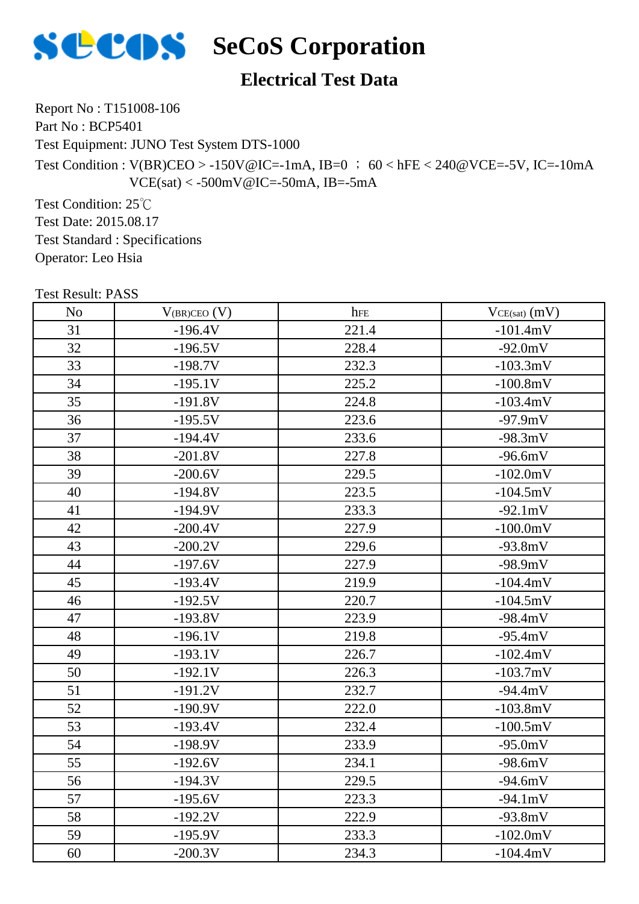

# **SECOS** SeCoS Corporation

#### **Electrical Test Data**

Report No : T151008-106

Part No : BCP5401

Test Equipment: JUNO Test System DTS-1000

Test Condition : V(BR)CEO > -150V@IC=-1mA, IB=0 ; 60 < hFE < 240@VCE=-5V, IC=-10mA  $VCE(sat) < -500mV@IC = -50mA$ , IB=-5mA

Test Condition: 25℃ Test Date: 2015.08.17 Test Standard : Specifications Operator: Leo Hsia

| LEST VESUIL LADD |                   |       |                   |
|------------------|-------------------|-------|-------------------|
| N <sub>o</sub>   | $V_{(BR)CEO} (V)$ | hFE   | $VCE(sat)$ $(mV)$ |
| 31               | $-196.4V$         | 221.4 | $-101.4mV$        |
| 32               | $-196.5V$         | 228.4 | $-92.0mV$         |
| 33               | $-198.7V$         | 232.3 | $-103.3mV$        |
| 34               | $-195.1V$         | 225.2 | $-100.8mV$        |
| 35               | $-191.8V$         | 224.8 | $-103.4mV$        |
| 36               | $-195.5V$         | 223.6 | $-97.9mV$         |
| 37               | $-194.4V$         | 233.6 | $-98.3mV$         |
| 38               | $-201.8V$         | 227.8 | $-96.6mV$         |
| 39               | $-200.6V$         | 229.5 | $-102.0mV$        |
| 40               | $-194.8V$         | 223.5 | $-104.5mV$        |
| 41               | $-194.9V$         | 233.3 | $-92.1mV$         |
| 42               | $-200.4V$         | 227.9 | $-100.0mV$        |
| 43               | $-200.2V$         | 229.6 | $-93.8mV$         |
| 44               | $-197.6V$         | 227.9 | $-98.9mV$         |
| 45               | $-193.4V$         | 219.9 | $-104.4mV$        |
| 46               | $-192.5V$         | 220.7 | $-104.5mV$        |
| 47               | $-193.8V$         | 223.9 | $-98.4mV$         |
| 48               | $-196.1V$         | 219.8 | $-95.4mV$         |
| 49               | $-193.1V$         | 226.7 | $-102.4mV$        |
| 50               | $-192.1V$         | 226.3 | $-103.7mV$        |
| 51               | $-191.2V$         | 232.7 | $-94.4mV$         |
| 52               | $-190.9V$         | 222.0 | $-103.8mV$        |
| 53               | $-193.4V$         | 232.4 | $-100.5mV$        |
| 54               | $-198.9V$         | 233.9 | $-95.0mV$         |
| 55               | $-192.6V$         | 234.1 | $-98.6mV$         |
| 56               | $-194.3V$         | 229.5 | $-94.6mV$         |
| 57               | $-195.6V$         | 223.3 | $-94.1mV$         |
| 58               | $-192.2V$         | 222.9 | $-93.8mV$         |
| 59               | $-195.9V$         | 233.3 | $-102.0mV$        |
| 60               | $-200.3V$         | 234.3 | $-104.4mV$        |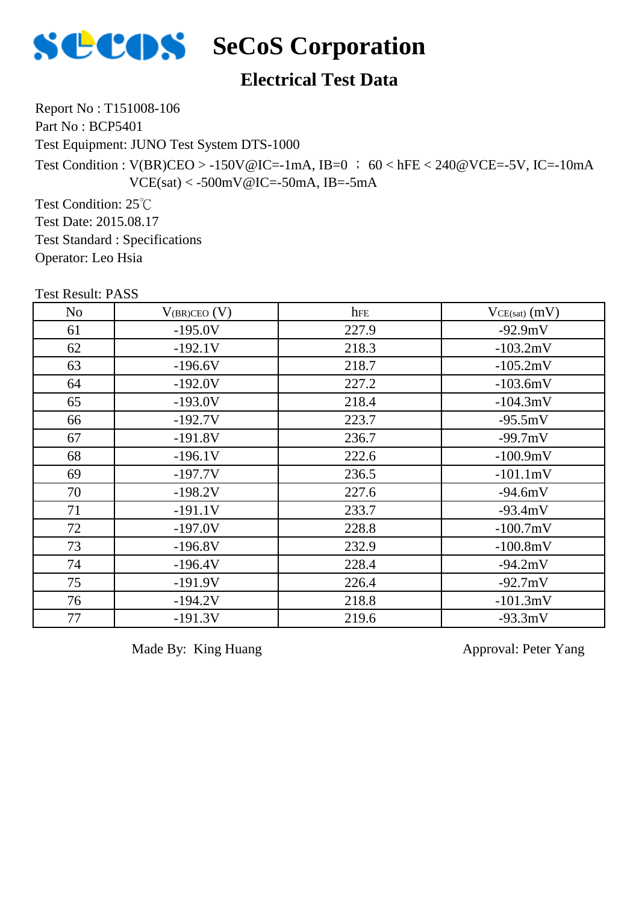

# **SECOS** SeCoS Corporation

#### **Electrical Test Data**

Report No : T151008-106

Part No : BCP5401

Test Equipment: JUNO Test System DTS-1000

Test Condition : V(BR)CEO > -150V@IC=-1mA, IB=0 ; 60 < hFE < 240@VCE=-5V, IC=-10mA  $VCE(sat) < -500mV@IC = -50mA$ , IB=-5mA

Test Condition: 25℃ Test Date: 2015.08.17 Test Standard : Specifications Operator: Leo Hsia

| <b>Test Result: PASS</b> |                     |       |                   |
|--------------------------|---------------------|-------|-------------------|
| No                       | $V_{(BR)CEO}$ $(V)$ | hFE   | $VCE(sat)$ $(mV)$ |
| 61                       | $-195.0V$           | 227.9 | $-92.9mV$         |
| 62                       | $-192.1V$           | 218.3 | $-103.2mV$        |
| 63                       | $-196.6V$           | 218.7 | $-105.2mV$        |
| 64                       | $-192.0V$           | 227.2 | $-103.6mV$        |
| 65                       | $-193.0V$           | 218.4 | $-104.3mV$        |
| 66                       | $-192.7V$           | 223.7 | $-95.5mV$         |
| 67                       | $-191.8V$           | 236.7 | $-99.7mV$         |
| 68                       | $-196.1V$           | 222.6 | $-100.9mV$        |
| 69                       | $-197.7V$           | 236.5 | $-101.1mV$        |
| 70                       | $-198.2V$           | 227.6 | $-94.6mV$         |
| 71                       | $-191.1V$           | 233.7 | $-93.4mV$         |
| 72                       | $-197.0V$           | 228.8 | $-100.7mV$        |
| 73                       | $-196.8V$           | 232.9 | $-100.8mV$        |
| 74                       | $-196.4V$           | 228.4 | $-94.2mV$         |
| 75                       | $-191.9V$           | 226.4 | $-92.7mV$         |
| 76                       | $-194.2V$           | 218.8 | $-101.3mV$        |
| 77                       | $-191.3V$           | 219.6 | $-93.3mV$         |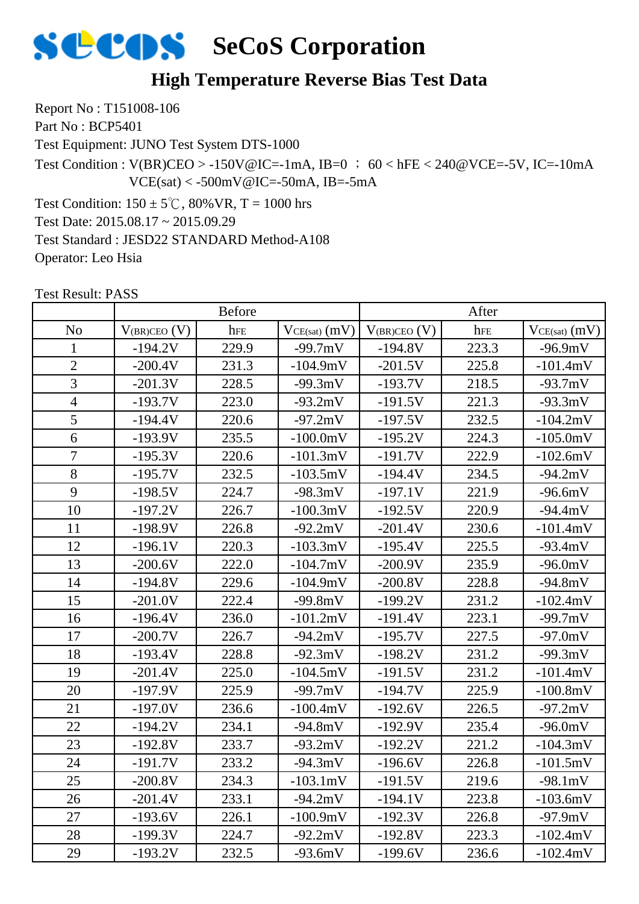

#### **High Temperature Reverse Bias Test Data**

Report No : T151008-106 Part No : BCP5401

Test Equipment: JUNO Test System DTS-1000

Test Condition :  $V(BR)CEO > -150V@IC = -1mA$ , IB=0 ; 60 < hFE < 240@VCE=-5V, IC=-10mA  $VCE(sat) < -500mV@IC = -50mA$ , IB=-5mA

Test Condition:  $150 \pm 5^{\circ}$ C,  $80\%$  VR, T = 1000 hrs Test Date: 2015.08.17 ~ 2015.09.29 Test Standard : JESD22 STANDARD Method-A108 Operator: Leo Hsia

|                | <b>Before</b>       |       | After             |                     |       |                   |
|----------------|---------------------|-------|-------------------|---------------------|-------|-------------------|
| N <sub>o</sub> | $V_{(BR)CEO}$ $(V)$ | hFE   | $VCE(sat)$ $(mV)$ | $V_{(BR)CEO}$ $(V)$ | hFE   | $VCE(sat)$ $(mV)$ |
| 1              | $-194.2V$           | 229.9 | $-99.7mV$         | $-194.8V$           | 223.3 | $-96.9mV$         |
| $\overline{2}$ | $-200.4V$           | 231.3 | $-104.9mV$        | $-201.5V$           | 225.8 | $-101.4mV$        |
| $\overline{3}$ | $-201.3V$           | 228.5 | $-99.3mV$         | $-193.7V$           | 218.5 | $-93.7mV$         |
| $\overline{4}$ | $-193.7V$           | 223.0 | $-93.2mV$         | $-191.5V$           | 221.3 | $-93.3mV$         |
| 5              | $-194.4V$           | 220.6 | $-97.2mV$         | $-197.5V$           | 232.5 | $-104.2mV$        |
| 6              | $-193.9V$           | 235.5 | $-100.0mV$        | $-195.2V$           | 224.3 | $-105.0mV$        |
| $\overline{7}$ | $-195.3V$           | 220.6 | $-101.3mV$        | $-191.7V$           | 222.9 | $-102.6mV$        |
| 8              | $-195.7V$           | 232.5 | $-103.5mV$        | $-194.4V$           | 234.5 | $-94.2mV$         |
| 9              | $-198.5V$           | 224.7 | $-98.3mV$         | $-197.1V$           | 221.9 | $-96.6mV$         |
| 10             | $-197.2V$           | 226.7 | $-100.3mV$        | $-192.5V$           | 220.9 | $-94.4mV$         |
| 11             | $-198.9V$           | 226.8 | $-92.2mV$         | $-201.4V$           | 230.6 | $-101.4mV$        |
| 12             | $-196.1V$           | 220.3 | $-103.3mV$        | $-195.4V$           | 225.5 | $-93.4mV$         |
| 13             | $-200.6V$           | 222.0 | $-104.7mV$        | $-200.9V$           | 235.9 | $-96.0mV$         |
| 14             | $-194.8V$           | 229.6 | $-104.9mV$        | $-200.8V$           | 228.8 | $-94.8mV$         |
| 15             | $-201.0V$           | 222.4 | $-99.8mV$         | $-199.2V$           | 231.2 | $-102.4mV$        |
| 16             | $-196.4V$           | 236.0 | $-101.2mV$        | $-191.4V$           | 223.1 | $-99.7mV$         |
| 17             | $-200.7V$           | 226.7 | $-94.2mV$         | $-195.7V$           | 227.5 | $-97.0mV$         |
| 18             | $-193.4V$           | 228.8 | $-92.3mV$         | $-198.2V$           | 231.2 | $-99.3mV$         |
| 19             | $-201.4V$           | 225.0 | $-104.5mV$        | $-191.5V$           | 231.2 | $-101.4mV$        |
| 20             | $-197.9V$           | 225.9 | $-99.7mV$         | $-194.7V$           | 225.9 | $-100.8mV$        |
| 21             | $-197.0V$           | 236.6 | $-100.4mV$        | $-192.6V$           | 226.5 | $-97.2mV$         |
| 22             | $-194.2V$           | 234.1 | $-94.8mV$         | $-192.9V$           | 235.4 | $-96.0mV$         |
| 23             | $-192.8V$           | 233.7 | $-93.2mV$         | $-192.2V$           | 221.2 | $-104.3mV$        |
| 24             | $-191.7V$           | 233.2 | $-94.3mV$         | $-196.6V$           | 226.8 | $-101.5mV$        |
| 25             | $-200.8V$           | 234.3 | -103.1mV          | $-191.5V$           | 219.6 | $-98.1 \text{mV}$ |
| 26             | $-201.4V$           | 233.1 | $-94.2mV$         | $-194.1V$           | 223.8 | $-103.6mV$        |
| 27             | $-193.6V$           | 226.1 | $-100.9mV$        | $-192.3V$           | 226.8 | $-97.9mV$         |
| 28             | $-199.3V$           | 224.7 | $-92.2mV$         | $-192.8V$           | 223.3 | $-102.4mV$        |
| 29             | $-193.2V$           | 232.5 | $-93.6mV$         | $-199.6V$           | 236.6 | $-102.4mV$        |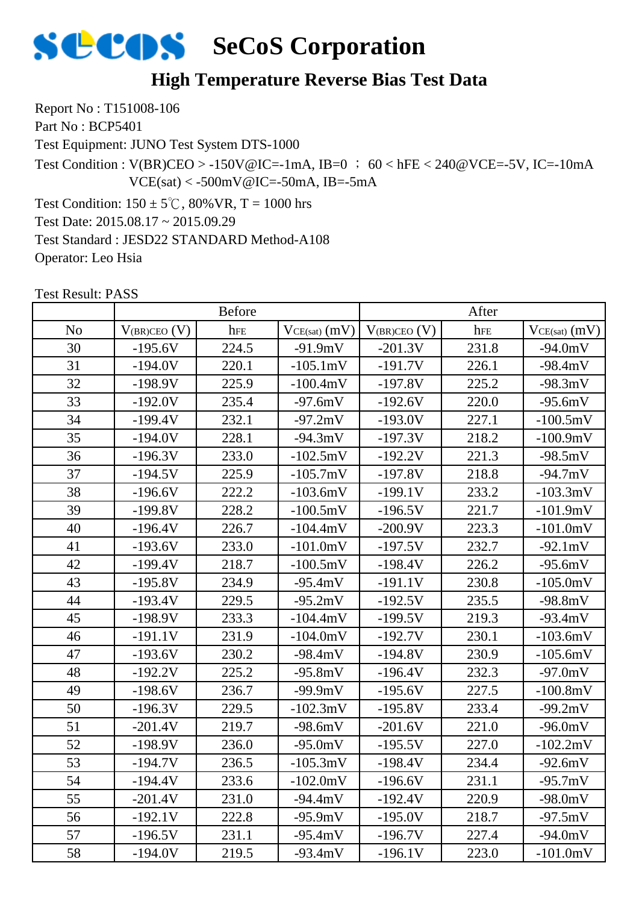

#### **High Temperature Reverse Bias Test Data**

Report No : T151008-106 Part No : BCP5401

Test Equipment: JUNO Test System DTS-1000

Test Condition :  $V(BR)CEO > -150V@IC = -1mA$ , IB=0 ; 60 < hFE < 240@VCE=-5V, IC=-10mA  $VCE(sat) < -500mV@IC = -50mA$ , IB=-5mA

Test Condition:  $150 \pm 5^{\circ}$ C,  $80\%$  VR, T = 1000 hrs Test Date: 2015.08.17 ~ 2015.09.29 Test Standard : JESD22 STANDARD Method-A108 Operator: Leo Hsia

|                |                     | <b>Before</b> |                 |                   | After |                   |
|----------------|---------------------|---------------|-----------------|-------------------|-------|-------------------|
| N <sub>o</sub> | $V_{(BR)CEO}$ $(V)$ | hFE           | $VCE(sat)$ (mV) | $V_{(BR)CEO} (V)$ | hFE   | $VCE(sat)$ $(mV)$ |
| 30             | $-195.6V$           | 224.5         | $-91.9mV$       | $-201.3V$         | 231.8 | $-94.0mV$         |
| 31             | $-194.0V$           | 220.1         | $-105.1mV$      | $-191.7V$         | 226.1 | $-98.4mV$         |
| 32             | $-198.9V$           | 225.9         | $-100.4mV$      | $-197.8V$         | 225.2 | $-98.3mV$         |
| 33             | $-192.0V$           | 235.4         | $-97.6mV$       | $-192.6V$         | 220.0 | $-95.6mV$         |
| 34             | $-199.4V$           | 232.1         | $-97.2mV$       | $-193.0V$         | 227.1 | $-100.5mV$        |
| 35             | $-194.0V$           | 228.1         | $-94.3mV$       | $-197.3V$         | 218.2 | $-100.9mV$        |
| 36             | $-196.3V$           | 233.0         | $-102.5mV$      | $-192.2V$         | 221.3 | $-98.5mV$         |
| 37             | $-194.5V$           | 225.9         | $-105.7mV$      | $-197.8V$         | 218.8 | $-94.7mV$         |
| 38             | $-196.6V$           | 222.2         | $-103.6mV$      | $-199.1V$         | 233.2 | $-103.3mV$        |
| 39             | $-199.8V$           | 228.2         | $-100.5mV$      | $-196.5V$         | 221.7 | $-101.9mV$        |
| 40             | $-196.4V$           | 226.7         | $-104.4mV$      | $-200.9V$         | 223.3 | $-101.0mV$        |
| 41             | $-193.6V$           | 233.0         | $-101.0mV$      | $-197.5V$         | 232.7 | $-92.1mV$         |
| 42             | $-199.4V$           | 218.7         | $-100.5mV$      | $-198.4V$         | 226.2 | $-95.6mV$         |
| 43             | $-195.8V$           | 234.9         | $-95.4mV$       | $-191.1V$         | 230.8 | $-105.0mV$        |
| 44             | $-193.4V$           | 229.5         | $-95.2mV$       | $-192.5V$         | 235.5 | $-98.8mV$         |
| 45             | $-198.9V$           | 233.3         | $-104.4mV$      | $-199.5V$         | 219.3 | $-93.4mV$         |
| 46             | $-191.1V$           | 231.9         | $-104.0mV$      | $-192.7V$         | 230.1 | $-103.6mV$        |
| 47             | $-193.6V$           | 230.2         | $-98.4mV$       | $-194.8V$         | 230.9 | $-105.6mV$        |
| 48             | $-192.2V$           | 225.2         | $-95.8mV$       | $-196.4V$         | 232.3 | $-97.0mV$         |
| 49             | $-198.6V$           | 236.7         | $-99.9mV$       | $-195.6V$         | 227.5 | $-100.8mV$        |
| 50             | $-196.3V$           | 229.5         | $-102.3mV$      | $-195.8V$         | 233.4 | $-99.2mV$         |
| 51             | $-201.4V$           | 219.7         | $-98.6mV$       | $-201.6V$         | 221.0 | $-96.0mV$         |
| 52             | $-198.9V$           | 236.0         | $-95.0mV$       | $-195.5V$         | 227.0 | $-102.2mV$        |
| 53             | $-194.7V$           | 236.5         | $-105.3mV$      | $-198.4V$         | 234.4 | $-92.6mV$         |
| 54             | $-194.4V$           | 233.6         | $-102.0mV$      | $-196.6V$         | 231.1 | $-95.7mV$         |
| 55             | $-201.4V$           | 231.0         | $-94.4mV$       | $-192.4V$         | 220.9 | $-98.0mV$         |
| 56             | $-192.1V$           | 222.8         | $-95.9mV$       | $-195.0V$         | 218.7 | $-97.5mV$         |
| 57             | $-196.5V$           | 231.1         | $-95.4mV$       | $-196.7V$         | 227.4 | $-94.0mV$         |
| 58             | $-194.0V$           | 219.5         | $-93.4mV$       | $-196.1V$         | 223.0 | $-101.0mV$        |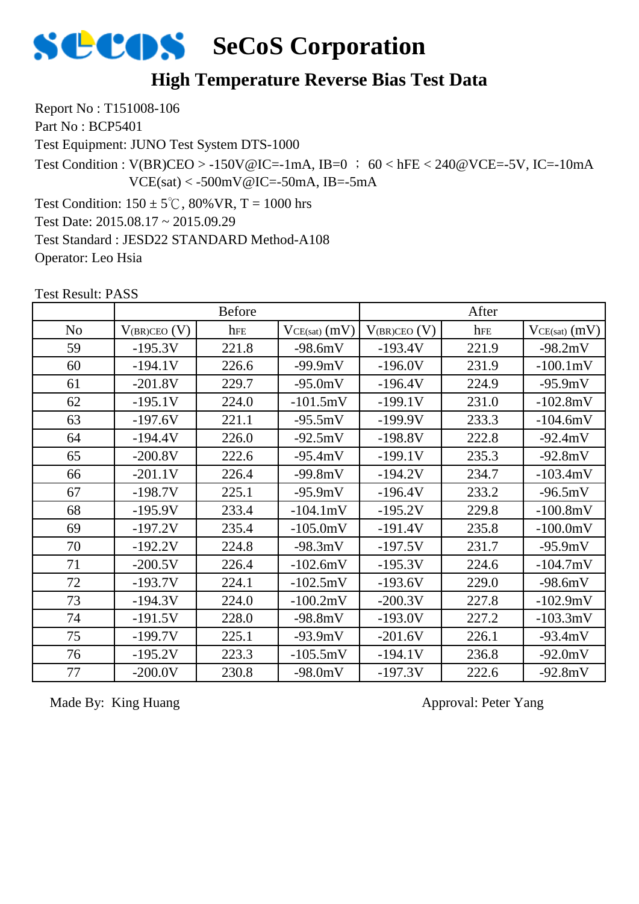

#### **High Temperature Reverse Bias Test Data**

Report No : T151008-106 Part No : BCP5401

Test Equipment: JUNO Test System DTS-1000

Test Condition :  $V(BR)CEO > -150V@IC = -1mA$ ,  $IB=0$  ; 60 < hFE < 240@VCE=-5V, IC=-10mA  $VCE(sat) < -500mV@IC = -50mA$ , IB=-5mA

Test Condition:  $150 \pm 5^{\circ}$ C,  $80\%$  VR, T = 1000 hrs Test Date: 2015.08.17 ~ 2015.09.29 Test Standard : JESD22 STANDARD Method-A108 Operator: Leo Hsia

Test Result: PASS

|                |                   | <b>Before</b> |                   |                   | After |                   |
|----------------|-------------------|---------------|-------------------|-------------------|-------|-------------------|
| N <sub>o</sub> | $V_{(BR)CEO} (V)$ | hFE           | $VCE(sat)$ $(mV)$ | $V_{(BR)CEO} (V)$ | hFE   | $VCE(sat)$ $(mV)$ |
| 59             | $-195.3V$         | 221.8         | $-98.6mV$         | $-193.4V$         | 221.9 | $-98.2mV$         |
| 60             | $-194.1V$         | 226.6         | $-99.9mV$         | $-196.0V$         | 231.9 | $-100.1mV$        |
| 61             | $-201.8V$         | 229.7         | $-95.0mV$         | $-196.4V$         | 224.9 | $-95.9mV$         |
| 62             | $-195.1V$         | 224.0         | $-101.5mV$        | $-199.1V$         | 231.0 | $-102.8mV$        |
| 63             | $-197.6V$         | 221.1         | $-95.5mV$         | $-199.9V$         | 233.3 | $-104.6mV$        |
| 64             | $-194.4V$         | 226.0         | $-92.5mV$         | $-198.8V$         | 222.8 | $-92.4mV$         |
| 65             | $-200.8V$         | 222.6         | $-95.4mV$         | $-199.1V$         | 235.3 | $-92.8mV$         |
| 66             | $-201.1V$         | 226.4         | $-99.8mV$         | $-194.2V$         | 234.7 | $-103.4mV$        |
| 67             | $-198.7V$         | 225.1         | $-95.9mV$         | $-196.4V$         | 233.2 | $-96.5mV$         |
| 68             | $-195.9V$         | 233.4         | $-104.1mV$        | $-195.2V$         | 229.8 | $-100.8mV$        |
| 69             | $-197.2V$         | 235.4         | $-105.0mV$        | $-191.4V$         | 235.8 | $-100.0mV$        |
| 70             | $-192.2V$         | 224.8         | $-98.3mV$         | $-197.5V$         | 231.7 | $-95.9mV$         |
| 71             | $-200.5V$         | 226.4         | $-102.6mV$        | $-195.3V$         | 224.6 | $-104.7mV$        |
| 72             | $-193.7V$         | 224.1         | $-102.5mV$        | $-193.6V$         | 229.0 | $-98.6mV$         |
| 73             | $-194.3V$         | 224.0         | $-100.2mV$        | $-200.3V$         | 227.8 | $-102.9mV$        |
| 74             | $-191.5V$         | 228.0         | $-98.8mV$         | $-193.0V$         | 227.2 | $-103.3mV$        |
| 75             | $-199.7V$         | 225.1         | $-93.9mV$         | $-201.6V$         | 226.1 | $-93.4mV$         |
| 76             | $-195.2V$         | 223.3         | $-105.5mV$        | $-194.1V$         | 236.8 | $-92.0mV$         |
| 77             | $-200.0V$         | 230.8         | $-98.0mV$         | $-197.3V$         | 222.6 | $-92.8mV$         |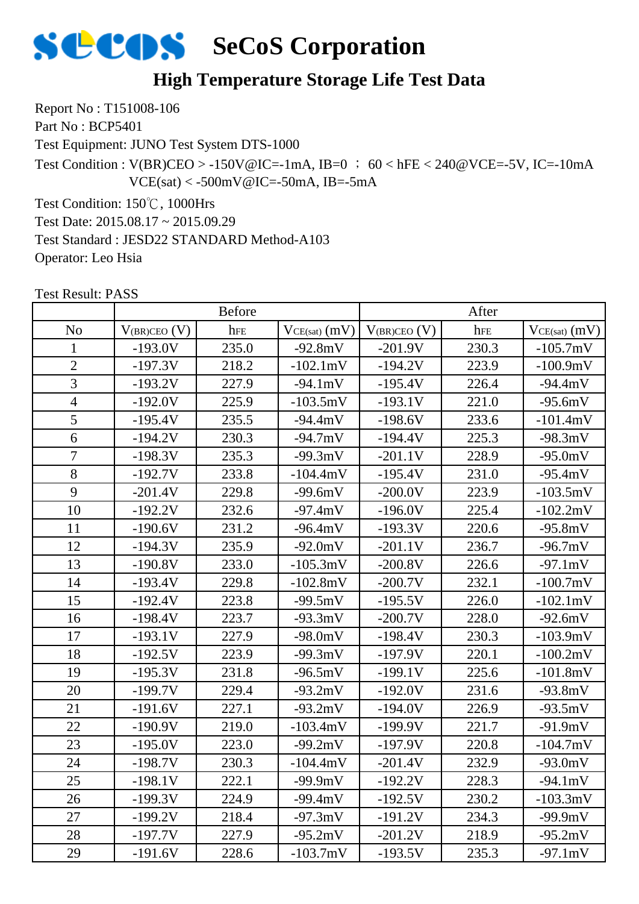

#### **High Temperature Storage Life Test Data**

Report No : T151008-106 Part No : BCP5401

Test Equipment: JUNO Test System DTS-1000

Test Condition :  $V(BR)CEO > -150V@IC = -1mA$ ,  $IB=0$  ; 60 < hFE < 240@VCE=-5V, IC=-10mA  $VCE(sat) < -500mV@IC = -50mA$ , IB=-5mA

Test Condition: 150℃, 1000Hrs

Test Date: 2015.08.17 ~ 2015.09.29

Test Standard : JESD22 STANDARD Method-A103

Operator: Leo Hsia

|                |                   | <b>Before</b> |                   |                   | After |                   |
|----------------|-------------------|---------------|-------------------|-------------------|-------|-------------------|
| N <sub>o</sub> | $V_{(BR)CEO}$ (V) | hFE           | $VCE(sat)$ $(mV)$ | $V_{(BR)CEO} (V)$ | hFE   | $VCE(sat)$ $(mV)$ |
| $\mathbf{1}$   | $-193.0V$         | 235.0         | $-92.8mV$         | $-201.9V$         | 230.3 | $-105.7mV$        |
| $\overline{2}$ | $-197.3V$         | 218.2         | $-102.1mV$        | $-194.2V$         | 223.9 | $-100.9mV$        |
| $\overline{3}$ | $-193.2V$         | 227.9         | $-94.1mV$         | $-195.4V$         | 226.4 | $-94.4mV$         |
| $\overline{4}$ | $-192.0V$         | 225.9         | $-103.5mV$        | $-193.1V$         | 221.0 | $-95.6mV$         |
| 5              | $-195.4V$         | 235.5         | $-94.4mV$         | $-198.6V$         | 233.6 | $-101.4mV$        |
| 6              | $-194.2V$         | 230.3         | $-94.7mV$         | $-194.4V$         | 225.3 | $-98.3mV$         |
| $\overline{7}$ | $-198.3V$         | 235.3         | $-99.3mV$         | $-201.1V$         | 228.9 | $-95.0mV$         |
| 8              | $-192.7V$         | 233.8         | $-104.4mV$        | $-195.4V$         | 231.0 | $-95.4mV$         |
| 9              | $-201.4V$         | 229.8         | $-99.6mV$         | $-200.0V$         | 223.9 | $-103.5mV$        |
| 10             | $-192.2V$         | 232.6         | $-97.4mV$         | $-196.0V$         | 225.4 | $-102.2mV$        |
| 11             | $-190.6V$         | 231.2         | $-96.4mV$         | $-193.3V$         | 220.6 | $-95.8mV$         |
| 12             | $-194.3V$         | 235.9         | $-92.0mV$         | $-201.1V$         | 236.7 | $-96.7mV$         |
| 13             | $-190.8V$         | 233.0         | $-105.3mV$        | $-200.8V$         | 226.6 | $-97.1mV$         |
| 14             | $-193.4V$         | 229.8         | $-102.8mV$        | $-200.7V$         | 232.1 | $-100.7mV$        |
| 15             | $-192.4V$         | 223.8         | $-99.5mV$         | $-195.5V$         | 226.0 | $-102.1mV$        |
| 16             | $-198.4V$         | 223.7         | $-93.3mV$         | $-200.7V$         | 228.0 | $-92.6mV$         |
| 17             | $-193.1V$         | 227.9         | $-98.0mV$         | $-198.4V$         | 230.3 | $-103.9mV$        |
| 18             | $-192.5V$         | 223.9         | $-99.3mV$         | $-197.9V$         | 220.1 | $-100.2mV$        |
| 19             | $-195.3V$         | 231.8         | $-96.5mV$         | $-199.1V$         | 225.6 | $-101.8mV$        |
| 20             | $-199.7V$         | 229.4         | $-93.2mV$         | $-192.0V$         | 231.6 | $-93.8mV$         |
| 21             | $-191.6V$         | 227.1         | $-93.2mV$         | $-194.0V$         | 226.9 | $-93.5mV$         |
| 22             | $-190.9V$         | 219.0         | $-103.4mV$        | $-199.9V$         | 221.7 | $-91.9mV$         |
| 23             | $-195.0V$         | 223.0         | $-99.2mV$         | $-197.9V$         | 220.8 | $-104.7mV$        |
| 24             | $-198.7V$         | 230.3         | $-104.4mV$        | $-201.4V$         | 232.9 | $-93.0mV$         |
| 25             | $-198.1V$         | 222.1         | $-99.9mV$         | $-192.2V$         | 228.3 | $-94.1mV$         |
| 26             | $-199.3V$         | 224.9         | $-99.4mV$         | $-192.5V$         | 230.2 | $-103.3mV$        |
| 27             | $-199.2V$         | 218.4         | $-97.3mV$         | $-191.2V$         | 234.3 | $-99.9mV$         |
| 28             | $-197.7V$         | 227.9         | $-95.2mV$         | $-201.2V$         | 218.9 | $-95.2mV$         |
| 29             | $-191.6V$         | 228.6         | $-103.7mV$        | $-193.5V$         | 235.3 | $-97.1mV$         |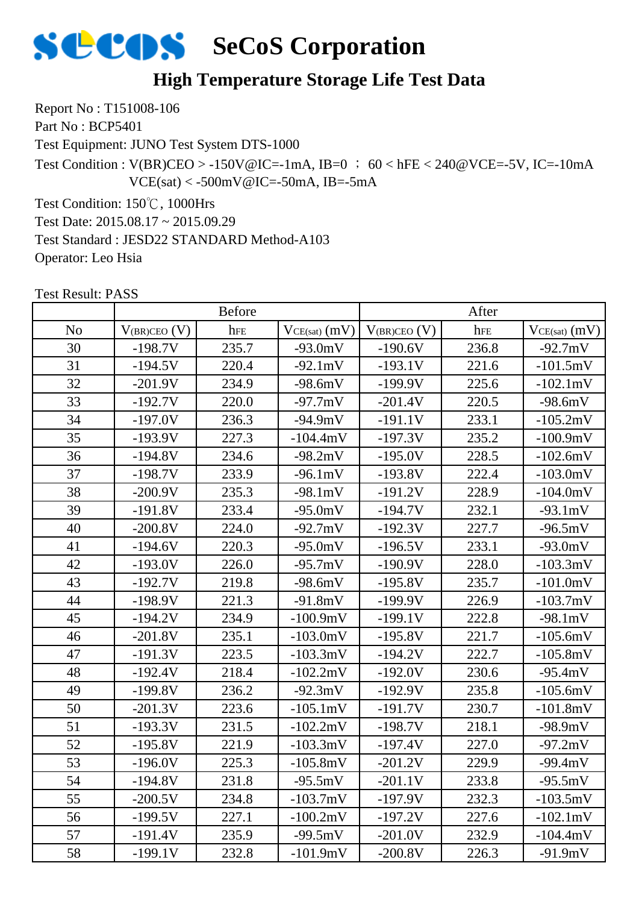

#### **High Temperature Storage Life Test Data**

Report No : T151008-106 Part No : BCP5401

Test Equipment: JUNO Test System DTS-1000

Test Condition :  $V(BR)CEO > -150V@IC = -1mA$ ,  $IB=0$  ; 60 < hFE < 240@VCE=-5V, IC=-10mA  $VCE(sat) < -500mV@IC = -50mA$ , IB=-5mA

Test Condition: 150℃, 1000Hrs

Test Date: 2015.08.17 ~ 2015.09.29

Test Standard : JESD22 STANDARD Method-A103

Operator: Leo Hsia

|                |                   | <b>Before</b> |                   |                   | After |                    |
|----------------|-------------------|---------------|-------------------|-------------------|-------|--------------------|
| N <sub>o</sub> | $V_{(BR)CEO} (V)$ | hFE           | $VCE(sat)$ $(mV)$ | $V_{(BR)CEO} (V)$ | hFE   | $VCE(sat)$ $(mV)$  |
| 30             | $-198.7V$         | 235.7         | $-93.0mV$         | $-190.6V$         | 236.8 | $-92.7mV$          |
| 31             | $-194.5V$         | 220.4         | $-92.1mV$         | $-193.1V$         | 221.6 | $-101.5mV$         |
| 32             | $-201.9V$         | 234.9         | $-98.6mV$         | $-199.9V$         | 225.6 | $-102.1 \text{mV}$ |
| 33             | $-192.7V$         | 220.0         | $-97.7mV$         | $-201.4V$         | 220.5 | $-98.6mV$          |
| 34             | $-197.0V$         | 236.3         | $-94.9mV$         | $-191.1V$         | 233.1 | $-105.2mV$         |
| 35             | $-193.9V$         | 227.3         | $-104.4mV$        | $-197.3V$         | 235.2 | $-100.9mV$         |
| 36             | $-194.8V$         | 234.6         | $-98.2mV$         | $-195.0V$         | 228.5 | $-102.6mV$         |
| 37             | $-198.7V$         | 233.9         | $-96.1mV$         | $-193.8V$         | 222.4 | $-103.0mV$         |
| 38             | $-200.9V$         | 235.3         | $-98.1mV$         | $-191.2V$         | 228.9 | $-104.0mV$         |
| 39             | $-191.8V$         | 233.4         | $-95.0mV$         | $-194.7V$         | 232.1 | $-93.1mV$          |
| 40             | $-200.8V$         | 224.0         | $-92.7mV$         | $-192.3V$         | 227.7 | $-96.5mV$          |
| 41             | $-194.6V$         | 220.3         | $-95.0mV$         | $-196.5V$         | 233.1 | $-93.0mV$          |
| 42             | $-193.0V$         | 226.0         | $-95.7mV$         | $-190.9V$         | 228.0 | $-103.3mV$         |
| 43             | $-192.7V$         | 219.8         | $-98.6mV$         | $-195.8V$         | 235.7 | $-101.0mV$         |
| 44             | $-198.9V$         | 221.3         | $-91.8mV$         | $-199.9V$         | 226.9 | $-103.7mV$         |
| 45             | $-194.2V$         | 234.9         | $-100.9mV$        | $-199.1V$         | 222.8 | $-98.1mV$          |
| 46             | $-201.8V$         | 235.1         | $-103.0mV$        | $-195.8V$         | 221.7 | $-105.6mV$         |
| 47             | $-191.3V$         | 223.5         | $-103.3mV$        | $-194.2V$         | 222.7 | $-105.8mV$         |
| 48             | $-192.4V$         | 218.4         | $-102.2mV$        | $-192.0V$         | 230.6 | $-95.4mV$          |
| 49             | $-199.8V$         | 236.2         | $-92.3mV$         | $-192.9V$         | 235.8 | $-105.6mV$         |
| 50             | $-201.3V$         | 223.6         | $-105.1mV$        | $-191.7V$         | 230.7 | $-101.8mV$         |
| 51             | $-193.3V$         | 231.5         | $-102.2mV$        | $-198.7V$         | 218.1 | $-98.9mV$          |
| 52             | $-195.8V$         | 221.9         | $-103.3mV$        | $-197.4V$         | 227.0 | $-97.2mV$          |
| 53             | $-196.0V$         | 225.3         | $-105.8mV$        | $-201.2V$         | 229.9 | $-99.4mV$          |
| 54             | 194.8V            | 231.8         | $-95.5mV$         | $-201.1V$         | 233.8 | $-95.5mV$          |
| 55             | $-200.5V$         | 234.8         | $-103.7mV$        | $-197.9V$         | 232.3 | $-103.5mV$         |
| 56             | $-199.5V$         | 227.1         | $-100.2mV$        | $-197.2V$         | 227.6 | $-102.1mV$         |
| 57             | $-191.4V$         | 235.9         | $-99.5mV$         | $-201.0V$         | 232.9 | $-104.4mV$         |
| 58             | $-199.1V$         | 232.8         | $-101.9mV$        | $-200.8V$         | 226.3 | $-91.9mV$          |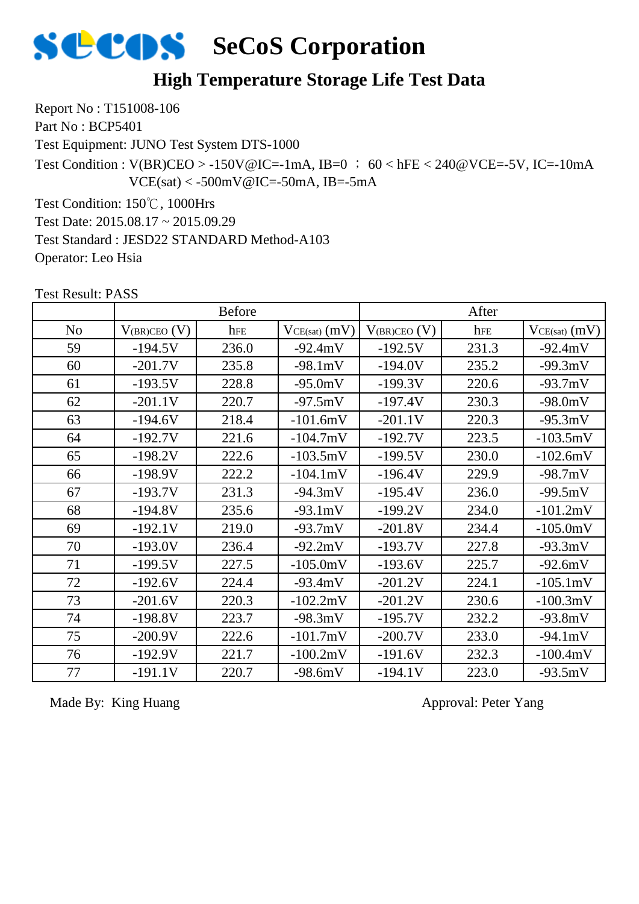

#### **High Temperature Storage Life Test Data**

Report No : T151008-106 Part No : BCP5401

Test Equipment: JUNO Test System DTS-1000

Test Condition :  $V(BR)CEO > -150V@IC = -1mA$ ,  $IB=0$  ; 60 < hFE < 240@VCE=-5V, IC=-10mA  $VCE(sat) < -500mV@IC = -50mA$ , IB=-5mA

Test Condition: 150℃, 1000Hrs

Test Date: 2015.08.17 ~ 2015.09.29

Test Standard : JESD22 STANDARD Method-A103

Operator: Leo Hsia

| LEST RESUIL FASS |                     |               |                   |                     |       |                   |
|------------------|---------------------|---------------|-------------------|---------------------|-------|-------------------|
|                  |                     | <b>Before</b> |                   |                     | After |                   |
| N <sub>o</sub>   | $V_{(BR)CEO}$ $(V)$ | hFE           | $VCE(sat)$ $(mV)$ | $V_{(BR)CEO}$ $(V)$ | hFE   | $VCE(sat)$ $(mV)$ |
| 59               | $-194.5V$           | 236.0         | $-92.4mV$         | $-192.5V$           | 231.3 | $-92.4mV$         |
| 60               | $-201.7V$           | 235.8         | $-98.1mV$         | $-194.0V$           | 235.2 | $-99.3mV$         |
| 61               | $-193.5V$           | 228.8         | $-95.0mV$         | $-199.3V$           | 220.6 | $-93.7mV$         |
| 62               | $-201.1V$           | 220.7         | $-97.5mV$         | $-197.4V$           | 230.3 | $-98.0mV$         |
| 63               | $-194.6V$           | 218.4         | $-101.6mV$        | $-201.1V$           | 220.3 | $-95.3mV$         |
| 64               | $-192.7V$           | 221.6         | $-104.7mV$        | $-192.7V$           | 223.5 | $-103.5mV$        |
| 65               | $-198.2V$           | 222.6         | $-103.5mV$        | $-199.5V$           | 230.0 | $-102.6mV$        |
| 66               | $-198.9V$           | 222.2         | $-104.1mV$        | $-196.4V$           | 229.9 | $-98.7mV$         |
| 67               | $-193.7V$           | 231.3         | $-94.3mV$         | $-195.4V$           | 236.0 | $-99.5mV$         |
| 68               | $-194.8V$           | 235.6         | $-93.1mV$         | $-199.2V$           | 234.0 | $-101.2mV$        |
| 69               | $-192.1V$           | 219.0         | $-93.7mV$         | $-201.8V$           | 234.4 | $-105.0mV$        |
| 70               | $-193.0V$           | 236.4         | $-92.2mV$         | $-193.7V$           | 227.8 | $-93.3mV$         |
| 71               | $-199.5V$           | 227.5         | $-105.0mV$        | $-193.6V$           | 225.7 | $-92.6mV$         |
| 72               | $-192.6V$           | 224.4         | $-93.4mV$         | $-201.2V$           | 224.1 | $-105.1mV$        |
| 73               | $-201.6V$           | 220.3         | $-102.2mV$        | $-201.2V$           | 230.6 | $-100.3mV$        |
| 74               | $-198.8V$           | 223.7         | $-98.3mV$         | $-195.7V$           | 232.2 | $-93.8mV$         |
| 75               | $-200.9V$           | 222.6         | $-101.7mV$        | $-200.7V$           | 233.0 | $-94.1mV$         |
| 76               | $-192.9V$           | 221.7         | $-100.2mV$        | $-191.6V$           | 232.3 | $-100.4mV$        |
| 77               | $-191.1V$           | 220.7         | $-98.6mV$         | $-194.1V$           | 223.0 | $-93.5mV$         |
|                  |                     |               |                   |                     |       |                   |

Test Result: PASS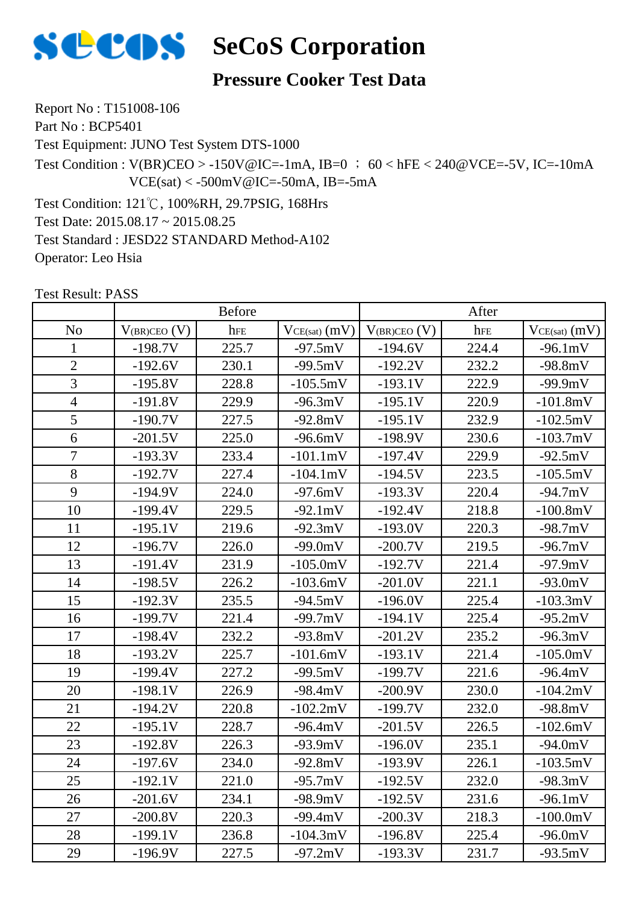

#### **Pressure Cooker Test Data**

Report No : T151008-106 Part No : BCP5401

Test Equipment: JUNO Test System DTS-1000

Test Condition :  $V(BR)CEO > -150V@IC = -1mA$ , IB=0 ; 60 < hFE < 240@VCE=-5V, IC=-10mA  $VCE(sat) < -500mV@IC = -50mA$ , IB=-5mA

Test Condition: 121℃, 100%RH, 29.7PSIG, 168Hrs Test Date: 2015.08.17 ~ 2015.08.25 Test Standard : JESD22 STANDARD Method-A102 Operator: Leo Hsia

|                | <b>Before</b>     |       |                   | After             |       |                   |
|----------------|-------------------|-------|-------------------|-------------------|-------|-------------------|
| N <sub>0</sub> | $V_{(BR)CEO} (V)$ | hFE   | $VCE(sat)$ $(mV)$ | $V_{(BR)CEO} (V)$ | hFE   | $VCE(sat)$ $(mV)$ |
| 1              | $-198.7V$         | 225.7 | $-97.5mV$         | $-194.6V$         | 224.4 | $-96.1mV$         |
| $\overline{2}$ | $-192.6V$         | 230.1 | $-99.5mV$         | $-192.2V$         | 232.2 | $-98.8mV$         |
| 3              | $-195.8V$         | 228.8 | $-105.5mV$        | $-193.1V$         | 222.9 | $-99.9mV$         |
| $\overline{4}$ | $-191.8V$         | 229.9 | $-96.3mV$         | $-195.1V$         | 220.9 | $-101.8mV$        |
| 5              | $-190.7V$         | 227.5 | $-92.8mV$         | $-195.1V$         | 232.9 | $-102.5mV$        |
| 6              | $-201.5V$         | 225.0 | $-96.6mV$         | $-198.9V$         | 230.6 | $-103.7mV$        |
| $\overline{7}$ | $-193.3V$         | 233.4 | $-101.1mV$        | $-197.4V$         | 229.9 | $-92.5mV$         |
| 8              | $-192.7V$         | 227.4 | $-104.1mV$        | $-194.5V$         | 223.5 | $-105.5mV$        |
| 9              | $-194.9V$         | 224.0 | $-97.6mV$         | $-193.3V$         | 220.4 | $-94.7mV$         |
| 10             | $-199.4V$         | 229.5 | $-92.1mV$         | $-192.4V$         | 218.8 | $-100.8mV$        |
| 11             | $-195.1V$         | 219.6 | $-92.3mV$         | $-193.0V$         | 220.3 | $-98.7mV$         |
| 12             | $-196.7V$         | 226.0 | $-99.0mV$         | $-200.7V$         | 219.5 | $-96.7mV$         |
| 13             | $-191.4V$         | 231.9 | $-105.0mV$        | $-192.7V$         | 221.4 | $-97.9mV$         |
| 14             | $-198.5V$         | 226.2 | $-103.6mV$        | $-201.0V$         | 221.1 | $-93.0mV$         |
| 15             | $-192.3V$         | 235.5 | $-94.5mV$         | $-196.0V$         | 225.4 | $-103.3mV$        |
| 16             | $-199.7V$         | 221.4 | $-99.7mV$         | $-194.1V$         | 225.4 | $-95.2mV$         |
| 17             | $-198.4V$         | 232.2 | $-93.8mV$         | $-201.2V$         | 235.2 | $-96.3mV$         |
| 18             | $-193.2V$         | 225.7 | $-101.6mV$        | $-193.1V$         | 221.4 | $-105.0mV$        |
| 19             | $-199.4V$         | 227.2 | $-99.5mV$         | $-199.7V$         | 221.6 | $-96.4mV$         |
| 20             | $-198.1V$         | 226.9 | $-98.4mV$         | $-200.9V$         | 230.0 | $-104.2mV$        |
| 21             | $-194.2V$         | 220.8 | $-102.2mV$        | $-199.7V$         | 232.0 | $-98.8mV$         |
| 22             | $-195.1V$         | 228.7 | $-96.4mV$         | $-201.5V$         | 226.5 | $-102.6mV$        |
| 23             | $-192.8V$         | 226.3 | $-93.9mV$         | $-196.0V$         | 235.1 | $-94.0mV$         |
| 24             | $-197.6V$         | 234.0 | $-92.8mV$         | $-193.9V$         | 226.1 | $-103.5mV$        |
| $25\,$         | $-192.1V$         | 221.0 | $-95.7$ mV        | $-192.5V$         | 232.0 | $-98.3mV$         |
| 26             | $-201.6V$         | 234.1 | $-98.9mV$         | $-192.5V$         | 231.6 | $-96.1mV$         |
| 27             | $-200.8V$         | 220.3 | $-99.4mV$         | $-200.3V$         | 218.3 | $-100.0mV$        |
| 28             | $-199.1V$         | 236.8 | $-104.3mV$        | $-196.8V$         | 225.4 | $-96.0mV$         |
| 29             | $-196.9V$         | 227.5 | $-97.2mV$         | $-193.3V$         | 231.7 | $-93.5mV$         |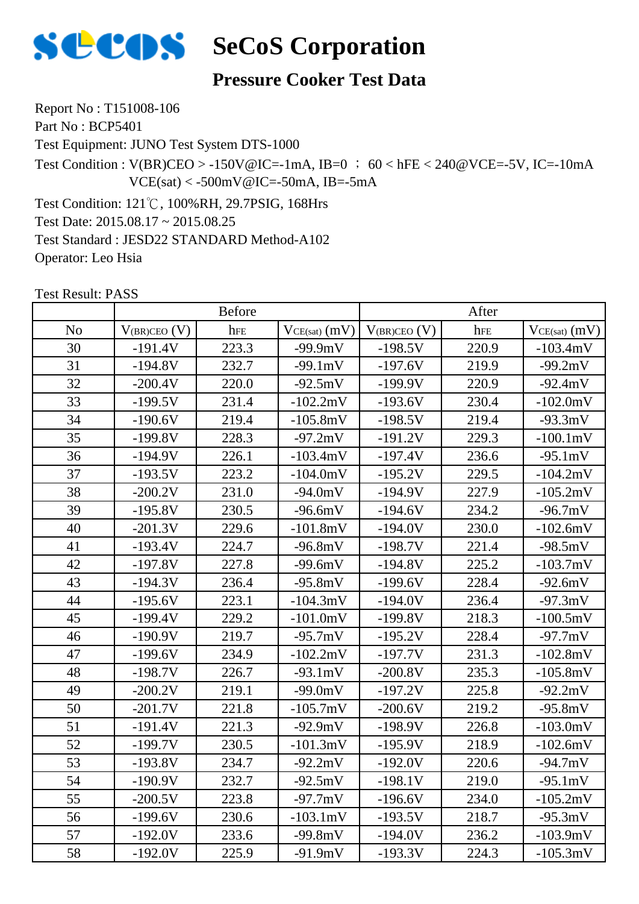

#### **Pressure Cooker Test Data**

Report No : T151008-106 Part No : BCP5401

Test Equipment: JUNO Test System DTS-1000

Test Condition :  $V(BR)CEO > -150V@IC = -1mA$ , IB=0 ; 60 < hFE < 240@VCE=-5V, IC=-10mA  $VCE(sat) < -500mV@IC = -50mA$ , IB=-5mA

Test Condition: 121℃, 100%RH, 29.7PSIG, 168Hrs Test Date: 2015.08.17 ~ 2015.08.25 Test Standard : JESD22 STANDARD Method-A102 Operator: Leo Hsia

|                |                     | <b>Before</b> |                   |                   | After |                   |  |
|----------------|---------------------|---------------|-------------------|-------------------|-------|-------------------|--|
| N <sub>o</sub> | $V_{(BR)CEO}$ $(V)$ | hFE           | $VCE(sat)$ $(mV)$ | $V_{(BR)CEO}$ (V) | hFE   | $VCE(sat)$ $(mV)$ |  |
| 30             | $-191.4V$           | 223.3         | $-99.9mV$         | $-198.5V$         | 220.9 | $-103.4mV$        |  |
| 31             | $-194.8V$           | 232.7         | $-99.1mV$         | $-197.6V$         | 219.9 | $-99.2mV$         |  |
| 32             | $-200.4V$           | 220.0         | $-92.5mV$         | $-199.9V$         | 220.9 | $-92.4mV$         |  |
| 33             | $-199.5V$           | 231.4         | $-102.2mV$        | $-193.6V$         | 230.4 | $-102.0mV$        |  |
| 34             | $-190.6V$           | 219.4         | $-105.8mV$        | $-198.5V$         | 219.4 | $-93.3mV$         |  |
| 35             | $-199.8V$           | 228.3         | $-97.2mV$         | $-191.2V$         | 229.3 | $-100.1mV$        |  |
| 36             | $-194.9V$           | 226.1         | $-103.4mV$        | $-197.4V$         | 236.6 | $-95.1mV$         |  |
| 37             | $-193.5V$           | 223.2         | $-104.0mV$        | $-195.2V$         | 229.5 | $-104.2mV$        |  |
| 38             | $-200.2V$           | 231.0         | $-94.0mV$         | $-194.9V$         | 227.9 | $-105.2mV$        |  |
| 39             | $-195.8V$           | 230.5         | $-96.6mV$         | $-194.6V$         | 234.2 | $-96.7mV$         |  |
| 40             | $-201.3V$           | 229.6         | $-101.8mV$        | $-194.0V$         | 230.0 | $-102.6mV$        |  |
| 41             | $-193.4V$           | 224.7         | $-96.8mV$         | $-198.7V$         | 221.4 | $-98.5mV$         |  |
| 42             | $-197.8V$           | 227.8         | $-99.6mV$         | $-194.8V$         | 225.2 | $-103.7mV$        |  |
| 43             | $-194.3V$           | 236.4         | $-95.8mV$         | $-199.6V$         | 228.4 | $-92.6mV$         |  |
| 44             | $-195.6V$           | 223.1         | $-104.3mV$        | $-194.0V$         | 236.4 | $-97.3mV$         |  |
| 45             | $-199.4V$           | 229.2         | $-101.0mV$        | $-199.8V$         | 218.3 | $-100.5mV$        |  |
| 46             | $-190.9V$           | 219.7         | $-95.7mV$         | $-195.2V$         | 228.4 | $-97.7mV$         |  |
| 47             | $-199.6V$           | 234.9         | $-102.2mV$        | $-197.7V$         | 231.3 | $-102.8mV$        |  |
| 48             | $-198.7V$           | 226.7         | $-93.1mV$         | $-200.8V$         | 235.3 | $-105.8mV$        |  |
| 49             | $-200.2V$           | 219.1         | $-99.0mV$         | $-197.2V$         | 225.8 | $-92.2mV$         |  |
| 50             | $-201.7V$           | 221.8         | $-105.7mV$        | $-200.6V$         | 219.2 | $-95.8mV$         |  |
| 51             | $-191.4V$           | 221.3         | $-92.9mV$         | $-198.9V$         | 226.8 | $-103.0mV$        |  |
| 52             | $-199.7V$           | 230.5         | $-101.3mV$        | $-195.9V$         | 218.9 | $-102.6mV$        |  |
| 53             | $-193.8V$           | 234.7         | $-92.2mV$         | $-192.0V$         | 220.6 | $-94.7mV$         |  |
| 54             | -190.9V             | 232.7         | -92.5mV           | $-198.1V$         | 219.0 | -95.1mV           |  |
| 55             | $-200.5V$           | 223.8         | $-97.7mV$         | $-196.6V$         | 234.0 | $-105.2mV$        |  |
| 56             | $-199.6V$           | 230.6         | $-103.1mV$        | $-193.5V$         | 218.7 | $-95.3mV$         |  |
| 57             | $-192.0V$           | 233.6         | $-99.8mV$         | $-194.0V$         | 236.2 | $-103.9mV$        |  |
| 58             | $-192.0V$           | 225.9         | $-91.9mV$         | $-193.3V$         | 224.3 | $-105.3mV$        |  |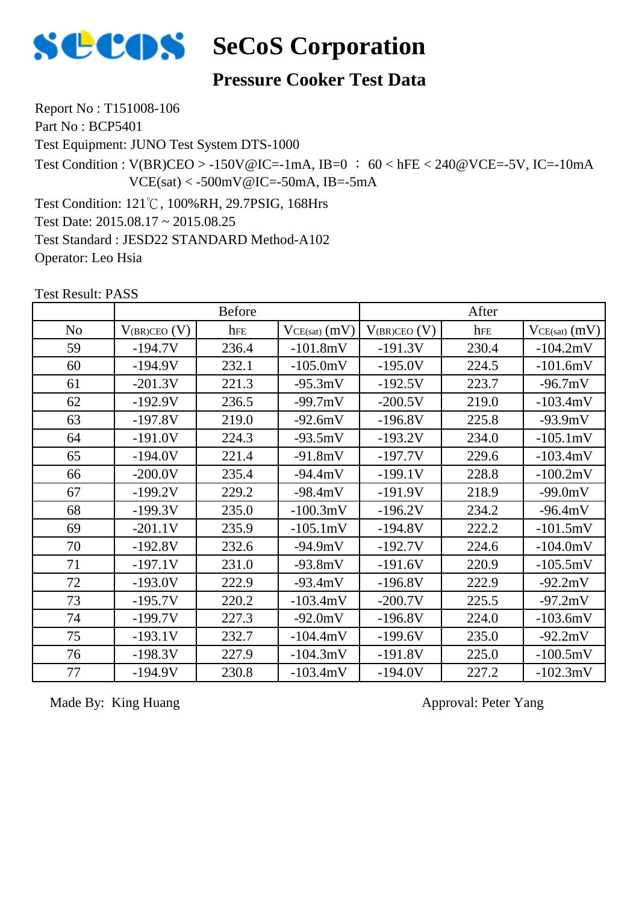

## **Pressure Cooker Test Data**

Report No : T151008-106 Part No : BCP5401

Test Equipment: JUNO Test System DTS-1000

Test Condition :  $V(BR)CEO > -150V@IC = -1mA$ , IB=0 ; 60 < hFE < 240@VCE=-5V, IC=-10mA  $VCE(sat) < -500mV@IC = -50mA$ , IB=-5mA

Test Condition: 121℃, 100%RH, 29.7PSIG, 168Hrs Test Date: 2015.08.17 ~ 2015.08.25 Test Standard : JESD22 STANDARD Method-A102 Operator: Leo Hsia

Test Result: PASS

|                |                   | <b>Before</b> |                   |                   | After |                   |
|----------------|-------------------|---------------|-------------------|-------------------|-------|-------------------|
| N <sub>o</sub> | $V_{(BR)CEO} (V)$ | hFE           | $VCE(sat)$ $(mV)$ | $V_{(BR)CEO} (V)$ | hFE   | $VCE(sat)$ $(mV)$ |
| 59             | $-194.7V$         | 236.4         | $-101.8mV$        | $-191.3V$         | 230.4 | $-104.2mV$        |
| 60             | $-194.9V$         | 232.1         | $-105.0mV$        | $-195.0V$         | 224.5 | $-101.6mV$        |
| 61             | $-201.3V$         | 221.3         | $-95.3mV$         | $-192.5V$         | 223.7 | $-96.7mV$         |
| 62             | $-192.9V$         | 236.5         | $-99.7mV$         | $-200.5V$         | 219.0 | $-103.4mV$        |
| 63             | $-197.8V$         | 219.0         | $-92.6mV$         | $-196.8V$         | 225.8 | $-93.9mV$         |
| 64             | $-191.0V$         | 224.3         | $-93.5mV$         | $-193.2V$         | 234.0 | $-105.1mV$        |
| 65             | $-194.0V$         | 221.4         | $-91.8mV$         | $-197.7V$         | 229.6 | $-103.4mV$        |
| 66             | $-200.0V$         | 235.4         | $-94.4mV$         | $-199.1V$         | 228.8 | $-100.2mV$        |
| 67             | $-199.2V$         | 229.2         | $-98.4mV$         | $-191.9V$         | 218.9 | $-99.0mV$         |
| 68             | $-199.3V$         | 235.0         | $-100.3mV$        | $-196.2V$         | 234.2 | $-96.4mV$         |
| 69             | $-201.1V$         | 235.9         | $-105.1mV$        | $-194.8V$         | 222.2 | $-101.5mV$        |
| 70             | $-192.8V$         | 232.6         | $-94.9mV$         | $-192.7V$         | 224.6 | $-104.0mV$        |
| 71             | $-197.1V$         | 231.0         | $-93.8mV$         | $-191.6V$         | 220.9 | $-105.5mV$        |
| 72             | $-193.0V$         | 222.9         | $-93.4mV$         | $-196.8V$         | 222.9 | $-92.2mV$         |
| 73             | $-195.7V$         | 220.2         | $-103.4mV$        | $-200.7V$         | 225.5 | $-97.2mV$         |
| 74             | $-199.7V$         | 227.3         | $-92.0mV$         | $-196.8V$         | 224.0 | $-103.6mV$        |
| 75             | $-193.1V$         | 232.7         | $-104.4mV$        | $-199.6V$         | 235.0 | $-92.2mV$         |
| 76             | $-198.3V$         | 227.9         | $-104.3mV$        | $-191.8V$         | 225.0 | $-100.5mV$        |
| 77             | $-194.9V$         | 230.8         | $-103.4mV$        | $-194.0V$         | 227.2 | $-102.3mV$        |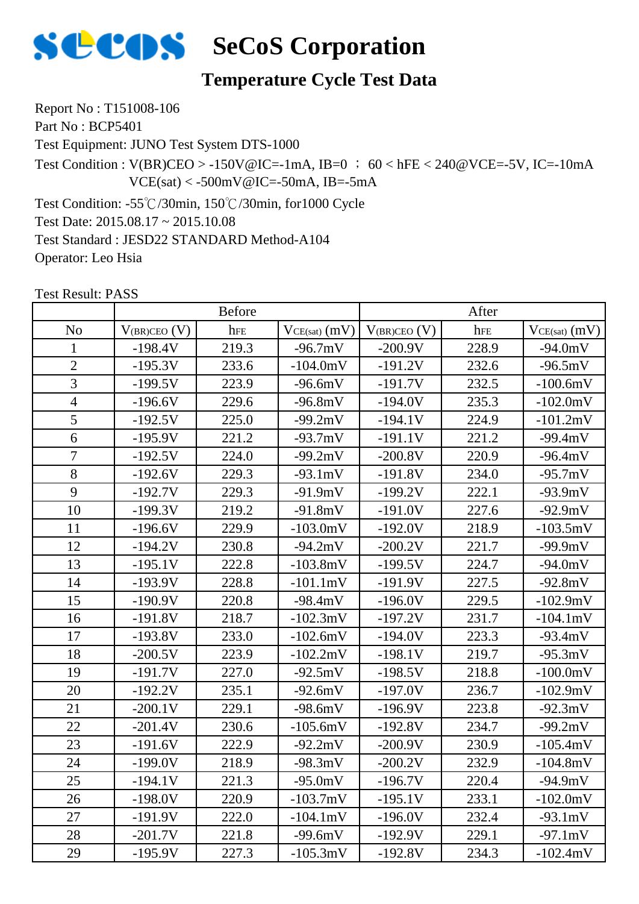

#### **Temperature Cycle Test Data**

Report No : T151008-106 Part No : BCP5401

Test Equipment: JUNO Test System DTS-1000

Test Condition :  $V(BR)CEO > -150V@IC = -1mA$ ,  $IB=0$  ; 60 < hFE < 240@VCE=-5V, IC=-10mA  $VCE(sat) < -500mV@IC = -50mA$ , IB=-5mA

Test Condition: -55℃/30min, 150℃/30min, for1000 Cycle Test Date: 2015.08.17 ~ 2015.10.08 Test Standard : JESD22 STANDARD Method-A104

Operator: Leo Hsia

|                |                   | <b>Before</b> |                   |                   | After |                   |
|----------------|-------------------|---------------|-------------------|-------------------|-------|-------------------|
| N <sub>o</sub> | $V_{(BR)CEO}$ (V) | hFE           | $VCE(sat)$ $(mV)$ | $V_{(BR)CEO} (V)$ | hFE   | $VCE(sat)$ $(mV)$ |
| $\mathbf{1}$   | $-198.4V$         | 219.3         | $-96.7mV$         | $-200.9V$         | 228.9 | $-94.0mV$         |
| $\overline{2}$ | $-195.3V$         | 233.6         | $-104.0mV$        | $-191.2V$         | 232.6 | $-96.5mV$         |
| 3              | $-199.5V$         | 223.9         | $-96.6mV$         | $-191.7V$         | 232.5 | $-100.6mV$        |
| $\overline{4}$ | $-196.6V$         | 229.6         | $-96.8mV$         | $-194.0V$         | 235.3 | $-102.0mV$        |
| 5              | $-192.5V$         | 225.0         | $-99.2mV$         | $-194.1V$         | 224.9 | $-101.2mV$        |
| 6              | $-195.9V$         | 221.2         | $-93.7mV$         | $-191.1V$         | 221.2 | $-99.4mV$         |
| $\overline{7}$ | $-192.5V$         | 224.0         | $-99.2mV$         | $-200.8V$         | 220.9 | $-96.4mV$         |
| 8              | $-192.6V$         | 229.3         | $-93.1mV$         | $-191.8V$         | 234.0 | $-95.7mV$         |
| 9              | $-192.7V$         | 229.3         | $-91.9mV$         | $-199.2V$         | 222.1 | $-93.9mV$         |
| 10             | $-199.3V$         | 219.2         | $-91.8mV$         | $-191.0V$         | 227.6 | $-92.9mV$         |
| 11             | $-196.6V$         | 229.9         | $-103.0mV$        | $-192.0V$         | 218.9 | $-103.5mV$        |
| 12             | $-194.2V$         | 230.8         | $-94.2mV$         | $-200.2V$         | 221.7 | $-99.9mV$         |
| 13             | $-195.1V$         | 222.8         | $-103.8mV$        | $-199.5V$         | 224.7 | $-94.0mV$         |
| 14             | $-193.9V$         | 228.8         | $-101.1mV$        | $-191.9V$         | 227.5 | $-92.8mV$         |
| 15             | $-190.9V$         | 220.8         | $-98.4mV$         | $-196.0V$         | 229.5 | $-102.9mV$        |
| 16             | $-191.8V$         | 218.7         | $-102.3mV$        | $-197.2V$         | 231.7 | $-104.1mV$        |
| 17             | $-193.8V$         | 233.0         | $-102.6mV$        | $-194.0V$         | 223.3 | $-93.4mV$         |
| 18             | $-200.5V$         | 223.9         | $-102.2mV$        | $-198.1V$         | 219.7 | $-95.3mV$         |
| 19             | $-191.7V$         | 227.0         | $-92.5mV$         | $-198.5V$         | 218.8 | $-100.0mV$        |
| 20             | $-192.2V$         | 235.1         | $-92.6mV$         | $-197.0V$         | 236.7 | $-102.9mV$        |
| 21             | $-200.1V$         | 229.1         | $-98.6mV$         | $-196.9V$         | 223.8 | $-92.3mV$         |
| 22             | $-201.4V$         | 230.6         | $-105.6mV$        | $-192.8V$         | 234.7 | $-99.2mV$         |
| 23             | $-191.6V$         | 222.9         | $-92.2mV$         | $-200.9V$         | 230.9 | $-105.4mV$        |
| 24             | $-199.0V$         | 218.9         | $-98.3mV$         | $-200.2V$         | 232.9 | $-104.8mV$        |
| 25             | $-194.1V$         | 221.3         | $-95.0mV$         | $-196.7V$         | 220.4 | $-94.9mV$         |
| 26             | $-198.0V$         | 220.9         | $-103.7mV$        | $-195.1V$         | 233.1 | $-102.0mV$        |
| 27             | $-191.9V$         | 222.0         | $-104.1mV$        | $-196.0V$         | 232.4 | $-93.1mV$         |
| 28             | $-201.7V$         | 221.8         | $-99.6mV$         | $-192.9V$         | 229.1 | $-97.1mV$         |
| 29             | $-195.9V$         | 227.3         | $-105.3mV$        | $-192.8V$         | 234.3 | $-102.4mV$        |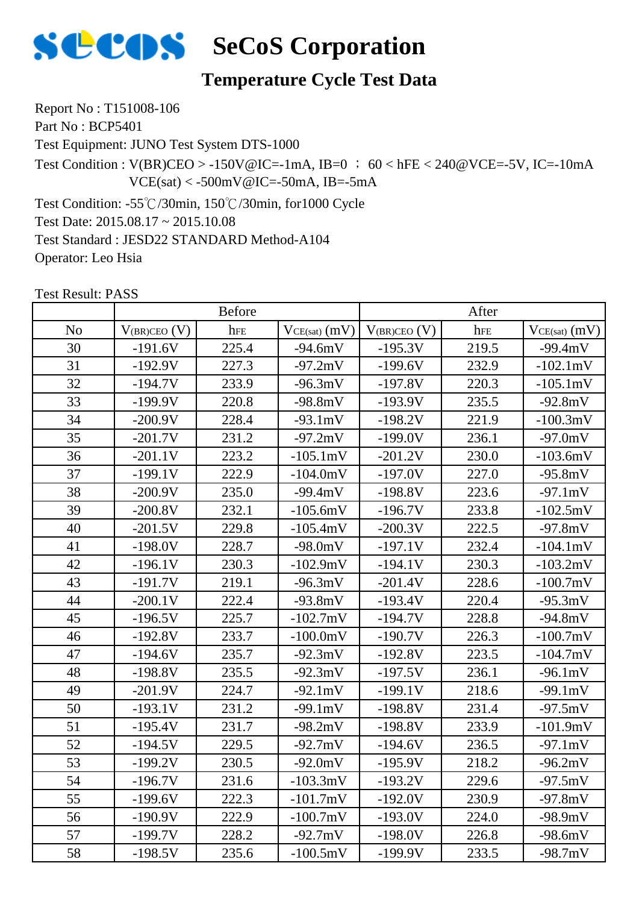

#### **Temperature Cycle Test Data**

Report No : T151008-106 Part No : BCP5401

Test Equipment: JUNO Test System DTS-1000

Test Condition :  $V(BR)CEO > -150V@IC = -1mA$ ,  $IB=0$  ; 60 < hFE < 240@VCE=-5V, IC=-10mA  $VCE(sat) < -500mV@IC = -50mA$ , IB=-5mA

Test Condition: -55℃/30min, 150℃/30min, for1000 Cycle Test Date: 2015.08.17 ~ 2015.10.08 Test Standard : JESD22 STANDARD Method-A104 Operator: Leo Hsia

|                |                     | <b>Before</b><br>After |                 |                     |       |                   |
|----------------|---------------------|------------------------|-----------------|---------------------|-------|-------------------|
| N <sub>o</sub> | $V_{(BR)CEO}$ $(V)$ | hFE                    | $VCE(sat)$ (mV) | $V_{(BR)CEO}$ $(V)$ | hFE   | $VCE(sat)$ $(mV)$ |
| 30             | $-191.6V$           | 225.4                  | $-94.6mV$       | $-195.3V$           | 219.5 | $-99.4mV$         |
| 31             | $-192.9V$           | 227.3                  | $-97.2mV$       | $-199.6V$           | 232.9 | $-102.1mV$        |
| 32             | $-194.7V$           | 233.9                  | $-96.3mV$       | $-197.8V$           | 220.3 | $-105.1mV$        |
| 33             | $-199.9V$           | 220.8                  | $-98.8mV$       | $-193.9V$           | 235.5 | $-92.8mV$         |
| 34             | $-200.9V$           | 228.4                  | $-93.1mV$       | $-198.2V$           | 221.9 | $-100.3mV$        |
| 35             | $-201.7V$           | 231.2                  | $-97.2mV$       | $-199.0V$           | 236.1 | $-97.0mV$         |
| 36             | $-201.1V$           | 223.2                  | $-105.1mV$      | $-201.2V$           | 230.0 | $-103.6mV$        |
| 37             | $-199.1V$           | 222.9                  | $-104.0mV$      | $-197.0V$           | 227.0 | $-95.8mV$         |
| 38             | $-200.9V$           | 235.0                  | $-99.4mV$       | $-198.8V$           | 223.6 | $-97.1mV$         |
| 39             | $-200.8V$           | 232.1                  | $-105.6mV$      | $-196.7V$           | 233.8 | $-102.5mV$        |
| 40             | $-201.5V$           | 229.8                  | $-105.4mV$      | $-200.3V$           | 222.5 | $-97.8mV$         |
| 41             | $-198.0V$           | 228.7                  | $-98.0mV$       | $-197.1V$           | 232.4 | $-104.1mV$        |
| 42             | $-196.1V$           | 230.3                  | $-102.9mV$      | $-194.1V$           | 230.3 | $-103.2mV$        |
| 43             | $-191.7V$           | 219.1                  | $-96.3mV$       | $-201.4V$           | 228.6 | $-100.7mV$        |
| 44             | $-200.1V$           | 222.4                  | $-93.8mV$       | $-193.4V$           | 220.4 | $-95.3mV$         |
| 45             | $-196.5V$           | 225.7                  | $-102.7mV$      | $-194.7V$           | 228.8 | $-94.8mV$         |
| 46             | $-192.8V$           | 233.7                  | $-100.0mV$      | $-190.7V$           | 226.3 | $-100.7$ mV       |
| 47             | $-194.6V$           | 235.7                  | $-92.3mV$       | $-192.8V$           | 223.5 | $-104.7mV$        |
| 48             | $-198.8V$           | 235.5                  | $-92.3mV$       | $-197.5V$           | 236.1 | $-96.1mV$         |
| 49             | $-201.9V$           | 224.7                  | $-92.1mV$       | $-199.1V$           | 218.6 | $-99.1mV$         |
| 50             | $-193.1V$           | 231.2                  | $-99.1mV$       | $-198.8V$           | 231.4 | $-97.5mV$         |
| 51             | $-195.4V$           | 231.7                  | $-98.2mV$       | $-198.8V$           | 233.9 | $-101.9mV$        |
| 52             | $-194.5V$           | 229.5                  | $-92.7mV$       | $-194.6V$           | 236.5 | $-97.1mV$         |
| 53             | $-199.2V$           | 230.5                  | $-92.0mV$       | $-195.9V$           | 218.2 | $-96.2mV$         |
| 54             | -196.7V             | 231.6                  | $-103.3mV$      | $-193.2V$           | 229.6 | -97.5mV           |
| 55             | $-199.6V$           | 222.3                  | $-101.7mV$      | $-192.0V$           | 230.9 | $-97.8mV$         |
| 56             | $-190.9V$           | 222.9                  | $-100.7mV$      | $-193.0V$           | 224.0 | $-98.9mV$         |
| 57             | $-199.7V$           | 228.2                  | $-92.7mV$       | $-198.0V$           | 226.8 | $-98.6mV$         |
| 58             | $-198.5V$           | 235.6                  | $-100.5mV$      | $-199.9V$           | 233.5 | $-98.7mV$         |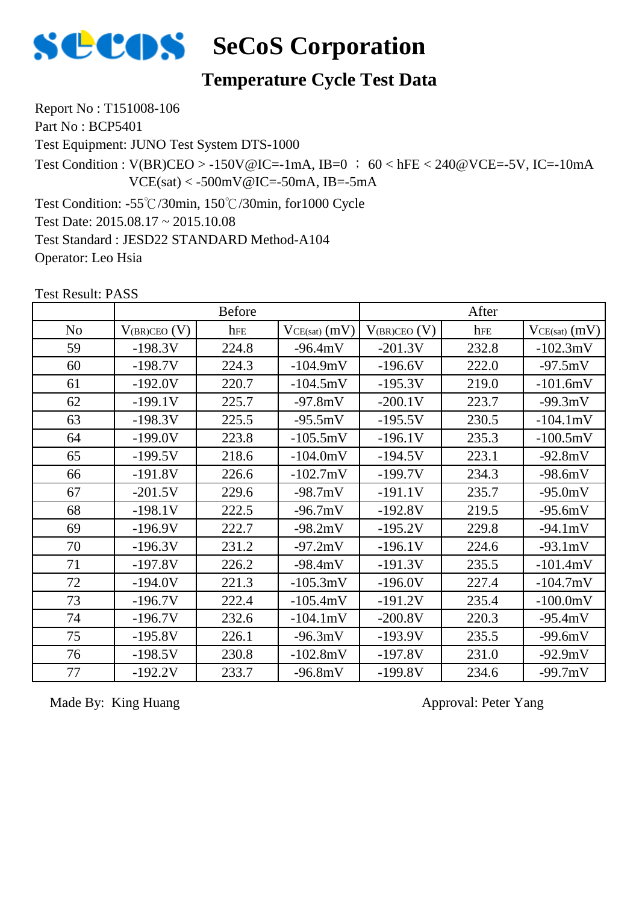

#### **Temperature Cycle Test Data**

Report No : T151008-106 Part No : BCP5401

Test Equipment: JUNO Test System DTS-1000

Test Condition :  $V(BR)CEO > -150V@IC = -1mA$ ,  $IB=0$  ; 60 < hFE < 240@VCE=-5V, IC=-10mA  $VCE(sat) < -500mV@IC = -50mA$ , IB=-5mA

Test Condition: -55℃/30min, 150℃/30min, for1000 Cycle Test Date: 2015.08.17 ~ 2015.10.08 Test Standard : JESD22 STANDARD Method-A104 Operator: Leo Hsia

Test Result: PASS

|                | <b>Before</b>     |       |                   | After             |       |                   |  |
|----------------|-------------------|-------|-------------------|-------------------|-------|-------------------|--|
| N <sub>o</sub> | $V_{(BR)CEO} (V)$ | hFE   | $VCE(sat)$ $(mV)$ | $V_{(BR)CEO} (V)$ | hFE   | $VCE(sat)$ $(mV)$ |  |
| 59             | $-198.3V$         | 224.8 | $-96.4mV$         | $-201.3V$         | 232.8 | $-102.3mV$        |  |
| 60             | $-198.7V$         | 224.3 | $-104.9mV$        | $-196.6V$         | 222.0 | $-97.5mV$         |  |
| 61             | $-192.0V$         | 220.7 | $-104.5mV$        | $-195.3V$         | 219.0 | $-101.6mV$        |  |
| 62             | $-199.1V$         | 225.7 | $-97.8mV$         | $-200.1V$         | 223.7 | $-99.3mV$         |  |
| 63             | $-198.3V$         | 225.5 | $-95.5mV$         | $-195.5V$         | 230.5 | $-104.1mV$        |  |
| 64             | $-199.0V$         | 223.8 | $-105.5mV$        | $-196.1V$         | 235.3 | $-100.5mV$        |  |
| 65             | $-199.5V$         | 218.6 | $-104.0mV$        | $-194.5V$         | 223.1 | $-92.8mV$         |  |
| 66             | $-191.8V$         | 226.6 | $-102.7mV$        | $-199.7V$         | 234.3 | $-98.6mV$         |  |
| 67             | $-201.5V$         | 229.6 | $-98.7mV$         | $-191.1V$         | 235.7 | $-95.0mV$         |  |
| 68             | $-198.1V$         | 222.5 | $-96.7mV$         | $-192.8V$         | 219.5 | $-95.6mV$         |  |
| 69             | $-196.9V$         | 222.7 | $-98.2mV$         | $-195.2V$         | 229.8 | $-94.1mV$         |  |
| 70             | $-196.3V$         | 231.2 | $-97.2mV$         | $-196.1V$         | 224.6 | $-93.1mV$         |  |
| 71             | $-197.8V$         | 226.2 | $-98.4mV$         | $-191.3V$         | 235.5 | $-101.4mV$        |  |
| 72             | $-194.0V$         | 221.3 | $-105.3mV$        | $-196.0V$         | 227.4 | $-104.7mV$        |  |
| 73             | $-196.7V$         | 222.4 | $-105.4mV$        | $-191.2V$         | 235.4 | $-100.0mV$        |  |
| 74             | $-196.7V$         | 232.6 | $-104.1mV$        | $-200.8V$         | 220.3 | $-95.4mV$         |  |
| 75             | $-195.8V$         | 226.1 | $-96.3mV$         | $-193.9V$         | 235.5 | $-99.6mV$         |  |
| 76             | $-198.5V$         | 230.8 | $-102.8mV$        | $-197.8V$         | 231.0 | $-92.9mV$         |  |
| 77             | $-192.2V$         | 233.7 | $-96.8mV$         | $-199.8V$         | 234.6 | $-99.7mV$         |  |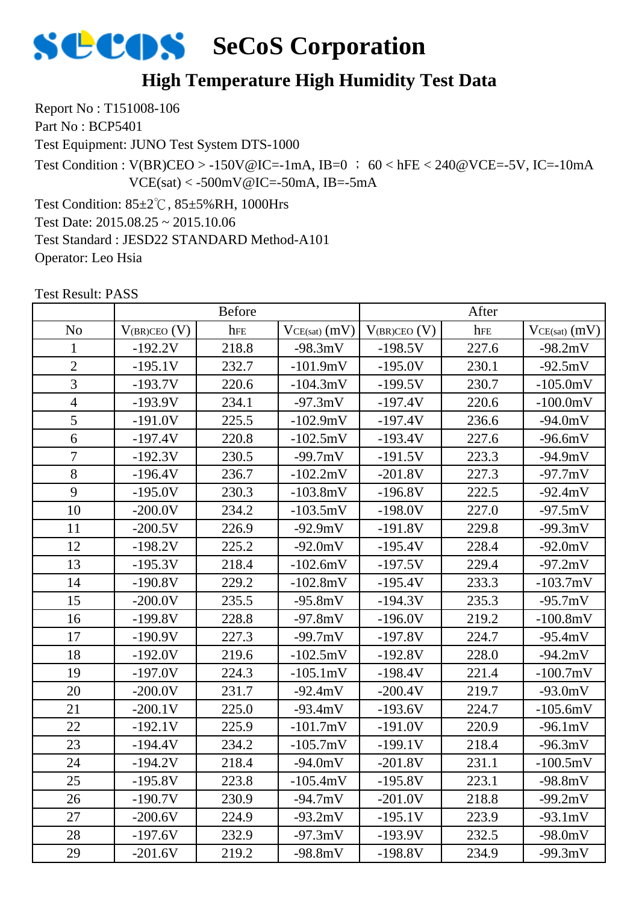

## **High Temperature High Humidity Test Data**

Report No : T151008-106 Part No : BCP5401

Test Equipment: JUNO Test System DTS-1000

Test Condition :  $V(BR)CEO > -150V@IC = -1mA$ ,  $IB=0$  ; 60 < hFE < 240@VCE=-5V, IC=-10mA  $VCE(sat) < -500mV@IC = -50mA$ , IB=-5mA

Test Condition: 85±2℃, 85±5%RH, 1000Hrs Test Date: 2015.08.25 ~ 2015.10.06 Test Standard : JESD22 STANDARD Method-A101 Operator: Leo Hsia

|                | <b>Before</b>     |       |                   | After             |       |                   |  |
|----------------|-------------------|-------|-------------------|-------------------|-------|-------------------|--|
| N <sub>o</sub> | $V_{(BR)CEO} (V)$ | hFE   | $VCE(sat)$ $(mV)$ | $V_{(BR)CEO} (V)$ | hFE   | $VCE(sat)$ $(mV)$ |  |
| 1              | $-192.2V$         | 218.8 | $-98.3mV$         | $-198.5V$         | 227.6 | $-98.2mV$         |  |
| $\overline{2}$ | $-195.1V$         | 232.7 | $-101.9mV$        | $-195.0V$         | 230.1 | $-92.5mV$         |  |
| 3              | $-193.7V$         | 220.6 | $-104.3mV$        | $-199.5V$         | 230.7 | $-105.0mV$        |  |
| $\overline{4}$ | $-193.9V$         | 234.1 | $-97.3mV$         | $-197.4V$         | 220.6 | $-100.0$ m $V$    |  |
| 5              | $-191.0V$         | 225.5 | $-102.9mV$        | $-197.4V$         | 236.6 | $-94.0mV$         |  |
| 6              | $-197.4V$         | 220.8 | $-102.5mV$        | $-193.4V$         | 227.6 | $-96.6mV$         |  |
| $\overline{7}$ | $-192.3V$         | 230.5 | $-99.7mV$         | $-191.5V$         | 223.3 | $-94.9mV$         |  |
| 8              | $-196.4V$         | 236.7 | $-102.2mV$        | $-201.8V$         | 227.3 | $-97.7mV$         |  |
| 9              | $-195.0V$         | 230.3 | $-103.8mV$        | $-196.8V$         | 222.5 | $-92.4mV$         |  |
| 10             | $-200.0V$         | 234.2 | $-103.5mV$        | $-198.0V$         | 227.0 | $-97.5mV$         |  |
| 11             | $-200.5V$         | 226.9 | $-92.9mV$         | $-191.8V$         | 229.8 | $-99.3mV$         |  |
| 12             | $-198.2V$         | 225.2 | $-92.0mV$         | $-195.4V$         | 228.4 | $-92.0mV$         |  |
| 13             | $-195.3V$         | 218.4 | $-102.6mV$        | $-197.5V$         | 229.4 | $-97.2mV$         |  |
| 14             | $-190.8V$         | 229.2 | $-102.8mV$        | $-195.4V$         | 233.3 | $-103.7mV$        |  |
| 15             | $-200.0V$         | 235.5 | $-95.8mV$         | $-194.3V$         | 235.3 | $-95.7mV$         |  |
| 16             | $-199.8V$         | 228.8 | $-97.8mV$         | $-196.0V$         | 219.2 | $-100.8mV$        |  |
| 17             | $-190.9V$         | 227.3 | $-99.7mV$         | $-197.8V$         | 224.7 | $-95.4mV$         |  |
| 18             | $-192.0V$         | 219.6 | $-102.5mV$        | $-192.8V$         | 228.0 | $-94.2mV$         |  |
| 19             | $-197.0V$         | 224.3 | $-105.1mV$        | $-198.4V$         | 221.4 | $-100.7mV$        |  |
| 20             | $-200.0V$         | 231.7 | $-92.4mV$         | $-200.4V$         | 219.7 | $-93.0mV$         |  |
| 21             | $-200.1V$         | 225.0 | $-93.4mV$         | $-193.6V$         | 224.7 | $-105.6mV$        |  |
| 22             | $-192.1V$         | 225.9 | $-101.7mV$        | $-191.0V$         | 220.9 | $-96.1mV$         |  |
| 23             | $-194.4V$         | 234.2 | $-105.7mV$        | $-199.1V$         | 218.4 | $-96.3mV$         |  |
| 24             | $-194.2V$         | 218.4 | $-94.0mV$         | $-201.8V$         | 231.1 | $-100.5mV$        |  |
| 25             | $-195.8V$         | 223.8 | $-105.4mV$        | $-195.8V$         | 223.1 | -98.8mV           |  |
| 26             | $-190.7V$         | 230.9 | $-94.7mV$         | $-201.0V$         | 218.8 | $-99.2mV$         |  |
| 27             | $-200.6V$         | 224.9 | $-93.2mV$         | $-195.1V$         | 223.9 | $-93.1mV$         |  |
| 28             | $-197.6V$         | 232.9 | $-97.3mV$         | $-193.9V$         | 232.5 | $-98.0mV$         |  |
| 29             | $-201.6V$         | 219.2 | $-98.8mV$         | $-198.8V$         | 234.9 | $-99.3mV$         |  |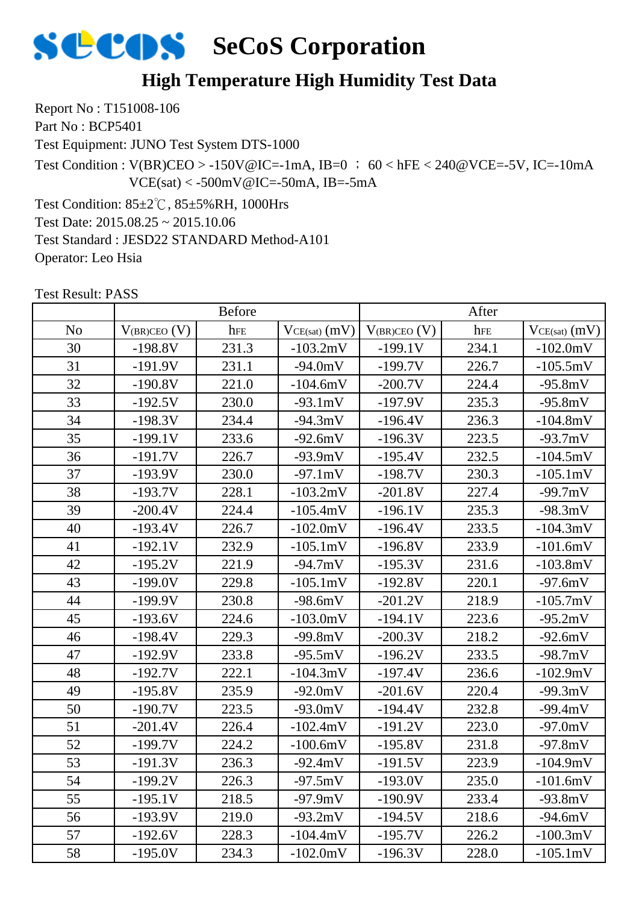

## **High Temperature High Humidity Test Data**

Report No : T151008-106 Part No : BCP5401

Test Equipment: JUNO Test System DTS-1000

Test Condition :  $V(BR)CEO > -150V@IC = -1mA$ ,  $IB=0$  ; 60 < hFE < 240@VCE=-5V, IC=-10mA  $VCE(sat) < -500mV@IC = -50mA$ , IB=-5mA

Test Condition: 85±2℃, 85±5%RH, 1000Hrs Test Date: 2015.08.25 ~ 2015.10.06 Test Standard : JESD22 STANDARD Method-A101 Operator: Leo Hsia

|                |                     | <b>Before</b> |                   | After             |       |                   |
|----------------|---------------------|---------------|-------------------|-------------------|-------|-------------------|
| N <sub>o</sub> | $V_{(BR)CEO}$ $(V)$ | hFE           | $VCE(sat)$ $(mV)$ | $V_{(BR)CEO}$ (V) | hFE   | $VCE(sat)$ $(mV)$ |
| 30             | $-198.8V$           | 231.3         | $-103.2mV$        | $-199.1V$         | 234.1 | $-102.0mV$        |
| 31             | $-191.9V$           | 231.1         | $-94.0mV$         | $-199.7V$         | 226.7 | $-105.5mV$        |
| 32             | $-190.8V$           | 221.0         | $-104.6mV$        | $-200.7V$         | 224.4 | $-95.8mV$         |
| 33             | $-192.5V$           | 230.0         | $-93.1mV$         | $-197.9V$         | 235.3 | $-95.8mV$         |
| 34             | $-198.3V$           | 234.4         | $-94.3mV$         | $-196.4V$         | 236.3 | $-104.8mV$        |
| 35             | $-199.1V$           | 233.6         | $-92.6mV$         | $-196.3V$         | 223.5 | $-93.7mV$         |
| 36             | $-191.7V$           | 226.7         | $-93.9mV$         | $-195.4V$         | 232.5 | $-104.5mV$        |
| 37             | $-193.9V$           | 230.0         | $-97.1mV$         | $-198.7V$         | 230.3 | $-105.1mV$        |
| 38             | $-193.7V$           | 228.1         | $-103.2mV$        | $-201.8V$         | 227.4 | $-99.7mV$         |
| 39             | $-200.4V$           | 224.4         | $-105.4mV$        | $-196.1V$         | 235.3 | $-98.3mV$         |
| 40             | $-193.4V$           | 226.7         | $-102.0mV$        | $-196.4V$         | 233.5 | $-104.3mV$        |
| 41             | $-192.1V$           | 232.9         | $-105.1mV$        | $-196.8V$         | 233.9 | $-101.6mV$        |
| 42             | $-195.2V$           | 221.9         | $-94.7mV$         | $-195.3V$         | 231.6 | $-103.8mV$        |
| 43             | $-199.0V$           | 229.8         | $-105.1mV$        | $-192.8V$         | 220.1 | $-97.6mV$         |
| 44             | $-199.9V$           | 230.8         | $-98.6mV$         | $-201.2V$         | 218.9 | $-105.7mV$        |
| 45             | $-193.6V$           | 224.6         | $-103.0mV$        | $-194.1V$         | 223.6 | $-95.2mV$         |
| 46             | $-198.4V$           | 229.3         | $-99.8mV$         | $-200.3V$         | 218.2 | $-92.6mV$         |
| 47             | $-192.9V$           | 233.8         | $-95.5mV$         | $-196.2V$         | 233.5 | $-98.7mV$         |
| 48             | $-192.7V$           | 222.1         | $-104.3mV$        | $-197.4V$         | 236.6 | $-102.9mV$        |
| 49             | $-195.8V$           | 235.9         | $-92.0mV$         | $-201.6V$         | 220.4 | $-99.3mV$         |
| 50             | $-190.7V$           | 223.5         | $-93.0mV$         | $-194.4V$         | 232.8 | $-99.4mV$         |
| 51             | $-201.4V$           | 226.4         | $-102.4mV$        | $-191.2V$         | 223.0 | $-97.0mV$         |
| 52             | $-199.7V$           | 224.2         | $-100.6mV$        | $-195.8V$         | 231.8 | $-97.8mV$         |
| 53             | $-191.3V$           | 236.3         | $-92.4mV$         | $-191.5V$         | 223.9 | $-104.9mV$        |
| 54             | -199.2V             | 226.3         | -97.5mV           | $-193.0V$         | 235.0 | $-101.6mV$        |
| 55             | $-195.1V$           | 218.5         | $-97.9mV$         | $-190.9V$         | 233.4 | $-93.8mV$         |
| 56             | $-193.9V$           | 219.0         | $-93.2mV$         | $-194.5V$         | 218.6 | $-94.6mV$         |
| 57             | $-192.6V$           | 228.3         | $-104.4mV$        | $-195.7V$         | 226.2 | $-100.3mV$        |
| 58             | $-195.0V$           | 234.3         | $-102.0mV$        | $-196.3V$         | 228.0 | $-105.1mV$        |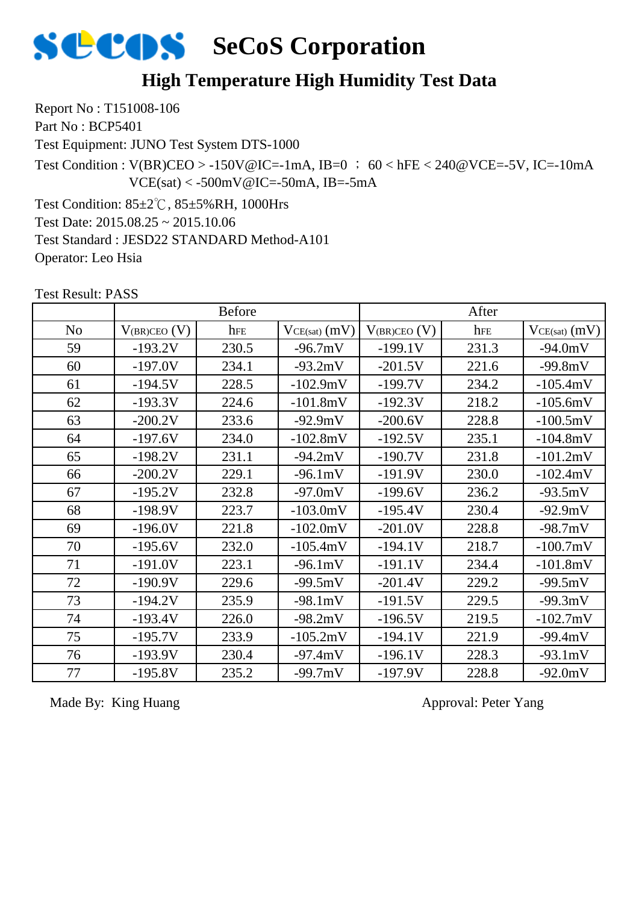

#### **High Temperature High Humidity Test Data**

Report No : T151008-106 Part No : BCP5401

Test Equipment: JUNO Test System DTS-1000

Test Condition :  $V(BR)CEO > -150V@IC = -1mA$ , IB=0 ; 60 < hFE < 240@VCE=-5V, IC=-10mA  $VCE(sat) < -500mV@IC = -50mA$ , IB=-5mA

Test Condition: 85±2℃, 85±5%RH, 1000Hrs Test Date: 2015.08.25 ~ 2015.10.06 Test Standard : JESD22 STANDARD Method-A101 Operator: Leo Hsia

 $\begin{array}{c|c|c|c|c|c} \hline \text{No} & \text{V}_{\text{(BR)CEO (V)}} & \text{here} & \text{V}_{\text{CE(sat)} (mV)} & \text{V}_{\text{(BR)CEO (V)}} & \text{here} & \text{V}_{\text{CE(sat)} (mV)} \hline \end{array}$ Before After 59 | -193.2V | 230.5 | -96.7mV | -199.1V | 231.3 | -94.0mV 60 | -197.0V | 234.1 | -93.2mV | -201.5V | 221.6 | -99.8mV 61 | -194.5V | 228.5 | -102.9mV | -199.7V | 234.2 | -105.4mV 62 | -193.3V | 224.6 | -101.8mV | -192.3V | 218.2 | -105.6mV 63 | -200.2V | 233.6 | -92.9mV | -200.6V | 228.8 | -100.5mV 64 -197.6V 234.0 -102.8mV -192.5V 235.1 -104.8mV 65 | -198.2V | 231.1 | -94.2mV | -190.7V | 231.8 | -101.2mV 66 | -200.2V | 229.1 | -96.1mV | -191.9V | 230.0 | -102.4mV 67 | -195.2V | 232.8 | -97.0mV | -199.6V | 236.2 | -93.5mV 68 | -198.9V | 223.7 | -103.0mV | -195.4V | 230.4 | -92.9mV 69 | -196.0V | 221.8 | -102.0mV | -201.0V | 228.8 | -98.7mV 70 | -195.6V | 232.0 | -105.4mV | -194.1V | 218.7 | -100.7mV 71 | -191.0V | 223.1 | -96.1mV | -191.1V | 234.4 | -101.8mV 72 | -190.9V | 229.6 | -99.5mV | -201.4V | 229.2 | -99.5mV 73 -194.2V 235.9 -98.1mV -191.5V 229.5 -99.3mV 74 -193.4V 226.0 -98.2mV -196.5V 219.5 -102.7mV 75 -195.7V 233.9 -105.2mV -194.1V 221.9 -99.4mV 76 | -193.9V | 230.4 | -97.4mV | -196.1V | 228.3 | -93.1mV 77 | -195.8V | 235.2 | -99.7mV | -197.9V | 228.8 | -92.0mV

Test Result: PASS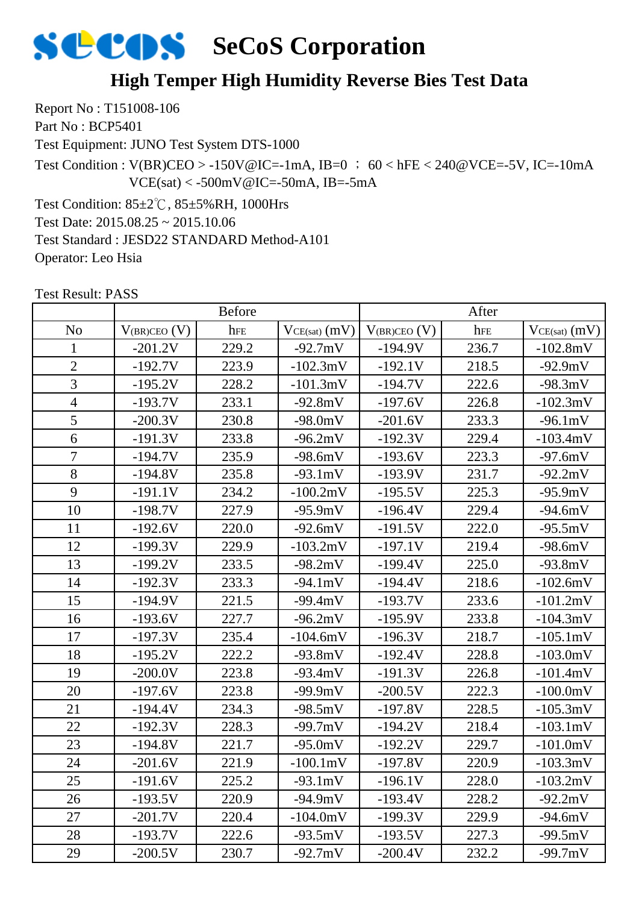## **High Temper High Humidity Reverse Bies Test Data**

Report No : T151008-106 Part No : BCP5401

Test Equipment: JUNO Test System DTS-1000

Test Condition :  $V(BR)CEO > -150V@IC = -1mA$ ,  $IB=0$  ; 60 < hFE < 240@VCE=-5V, IC=-10mA  $VCE(sat) < -500mV@IC = -50mA$ , IB=-5mA

Test Condition: 85±2℃, 85±5%RH, 1000Hrs Test Date: 2015.08.25 ~ 2015.10.06 Test Standard : JESD22 STANDARD Method-A101 Operator: Leo Hsia

|                | <b>Before</b>     |       |                    | After             |       |                   |
|----------------|-------------------|-------|--------------------|-------------------|-------|-------------------|
| N <sub>o</sub> | $V_{(BR)CEO} (V)$ | hFE   | $VCE(sat)$ $(mV)$  | $V_{(BR)CEO} (V)$ | hFE   | $VCE(sat)$ $(mV)$ |
| 1              | $-201.2V$         | 229.2 | $-92.7mV$          | $-194.9V$         | 236.7 | $-102.8mV$        |
| $\overline{2}$ | $-192.7V$         | 223.9 | $-102.3mV$         | $-192.1V$         | 218.5 | $-92.9mV$         |
| 3              | $-195.2V$         | 228.2 | $-101.3mV$         | $-194.7V$         | 222.6 | $-98.3mV$         |
| $\overline{4}$ | $-193.7V$         | 233.1 | $-92.8mV$          | $-197.6V$         | 226.8 | $-102.3mV$        |
| 5              | $-200.3V$         | 230.8 | $-98.0mV$          | $-201.6V$         | 233.3 | $-96.1mV$         |
| 6              | $-191.3V$         | 233.8 | $-96.2mV$          | $-192.3V$         | 229.4 | $-103.4mV$        |
| $\overline{7}$ | $-194.7V$         | 235.9 | $-98.6mV$          | $-193.6V$         | 223.3 | $-97.6mV$         |
| 8              | $-194.8V$         | 235.8 | $-93.1mV$          | $-193.9V$         | 231.7 | $-92.2mV$         |
| 9              | $-191.1V$         | 234.2 | $-100.2mV$         | $-195.5V$         | 225.3 | $-95.9mV$         |
| 10             | $-198.7V$         | 227.9 | $-95.9mV$          | $-196.4V$         | 229.4 | $-94.6mV$         |
| 11             | $-192.6V$         | 220.0 | $-92.6mV$          | $-191.5V$         | 222.0 | $-95.5mV$         |
| 12             | $-199.3V$         | 229.9 | $-103.2mV$         | $-197.1V$         | 219.4 | $-98.6mV$         |
| 13             | $-199.2V$         | 233.5 | $-98.2mV$          | $-199.4V$         | 225.0 | $-93.8mV$         |
| 14             | $-192.3V$         | 233.3 | $-94.1mV$          | $-194.4V$         | 218.6 | $-102.6mV$        |
| 15             | $-194.9V$         | 221.5 | $-99.4mV$          | $-193.7V$         | 233.6 | $-101.2mV$        |
| 16             | $-193.6V$         | 227.7 | $-96.2mV$          | $-195.9V$         | 233.8 | $-104.3mV$        |
| 17             | $-197.3V$         | 235.4 | $-104.6mV$         | $-196.3V$         | 218.7 | $-105.1mV$        |
| 18             | $-195.2V$         | 222.2 | $-93.8mV$          | $-192.4V$         | 228.8 | $-103.0mV$        |
| 19             | $-200.0V$         | 223.8 | $-93.4mV$          | $-191.3V$         | 226.8 | $-101.4mV$        |
| 20             | $-197.6V$         | 223.8 | $-99.9mV$          | $-200.5V$         | 222.3 | $-100.0mV$        |
| 21             | $-194.4V$         | 234.3 | $-98.5mV$          | $-197.8V$         | 228.5 | $-105.3mV$        |
| 22             | $-192.3V$         | 228.3 | $-99.7mV$          | $-194.2V$         | 218.4 | $-103.1mV$        |
| 23             | $-194.8V$         | 221.7 | $-95.0mV$          | $-192.2V$         | 229.7 | $-101.0mV$        |
| 24             | $-201.6V$         | 221.9 | $-100.1 \text{mV}$ | $-197.8V$         | 220.9 | $-103.3mV$        |
| 25             | -191.6V           | 225.2 | -93.1mV            | $-196.1V$         | 228.0 | $-103.2mV$        |
| 26             | $-193.5V$         | 220.9 | $-94.9mV$          | $-193.4V$         | 228.2 | $-92.2mV$         |
| 27             | $-201.7V$         | 220.4 | $-104.0mV$         | $-199.3V$         | 229.9 | $-94.6mV$         |
| 28             | $-193.7V$         | 222.6 | $-93.5mV$          | $-193.5V$         | 227.3 | $-99.5mV$         |
| 29             | $-200.5V$         | 230.7 | $-92.7mV$          | $-200.4V$         | 232.2 | $-99.7mV$         |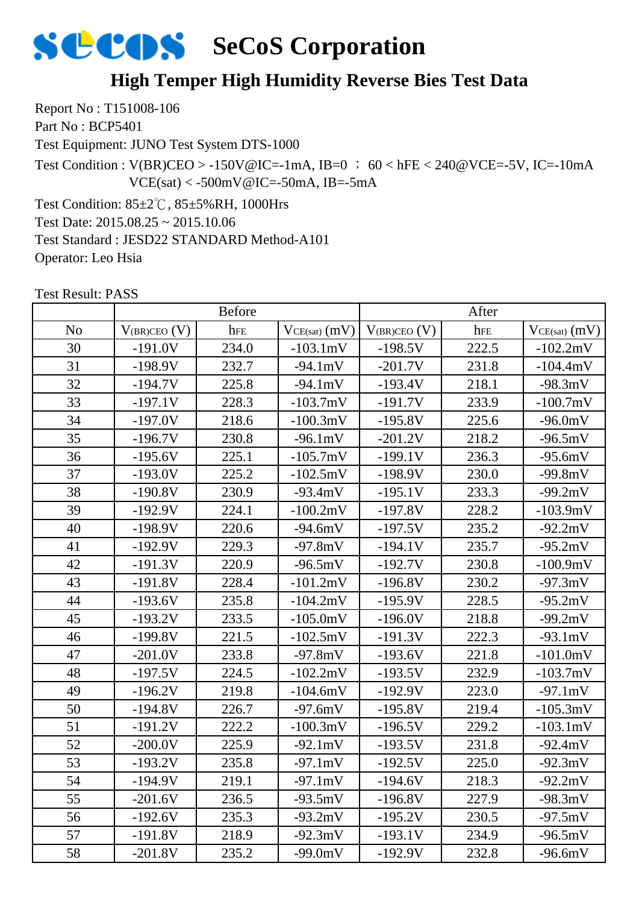## **High Temper High Humidity Reverse Bies Test Data**

Report No : T151008-106 Part No : BCP5401

Test Equipment: JUNO Test System DTS-1000

Test Condition :  $V(BR)CEO > -150V@IC = -1mA$ ,  $IB=0$  ; 60 < hFE < 240@VCE=-5V, IC=-10mA  $VCE(sat) < -500mV@IC = -50mA$ , IB=-5mA

Test Condition: 85±2℃, 85±5%RH, 1000Hrs Test Date: 2015.08.25 ~ 2015.10.06 Test Standard : JESD22 STANDARD Method-A101 Operator: Leo Hsia

|                | <b>Before</b>     |       |                 | After             |       |                   |
|----------------|-------------------|-------|-----------------|-------------------|-------|-------------------|
| N <sub>o</sub> | $V_{(BR)CEO} (V)$ | hFE   | $VCE(sat)$ (mV) | $V_{(BR)CEO}$ (V) | hFE   | $VCE(sat)$ $(mV)$ |
| 30             | $-191.0V$         | 234.0 | $-103.1mV$      | $-198.5V$         | 222.5 | $-102.2mV$        |
| 31             | $-198.9V$         | 232.7 | $-94.1mV$       | $-201.7V$         | 231.8 | $-104.4mV$        |
| 32             | $-194.7V$         | 225.8 | $-94.1mV$       | $-193.4V$         | 218.1 | $-98.3mV$         |
| 33             | $-197.1V$         | 228.3 | $-103.7mV$      | $-191.7V$         | 233.9 | $-100.7mV$        |
| 34             | $-197.0V$         | 218.6 | $-100.3mV$      | $-195.8V$         | 225.6 | $-96.0mV$         |
| 35             | $-196.7V$         | 230.8 | $-96.1mV$       | $-201.2V$         | 218.2 | $-96.5mV$         |
| 36             | $-195.6V$         | 225.1 | $-105.7mV$      | $-199.1V$         | 236.3 | $-95.6mV$         |
| 37             | $-193.0V$         | 225.2 | $-102.5mV$      | $-198.9V$         | 230.0 | $-99.8mV$         |
| 38             | $-190.8V$         | 230.9 | $-93.4mV$       | $-195.1V$         | 233.3 | $-99.2mV$         |
| 39             | $-192.9V$         | 224.1 | $-100.2mV$      | $-197.8V$         | 228.2 | $-103.9mV$        |
| 40             | $-198.9V$         | 220.6 | $-94.6mV$       | $-197.5V$         | 235.2 | $-92.2mV$         |
| 41             | $-192.9V$         | 229.3 | $-97.8mV$       | $-194.1V$         | 235.7 | $-95.2mV$         |
| 42             | $-191.3V$         | 220.9 | $-96.5mV$       | $-192.7V$         | 230.8 | $-100.9mV$        |
| 43             | $-191.8V$         | 228.4 | $-101.2mV$      | $-196.8V$         | 230.2 | $-97.3mV$         |
| 44             | $-193.6V$         | 235.8 | $-104.2mV$      | $-195.9V$         | 228.5 | $-95.2mV$         |
| 45             | $-193.2V$         | 233.5 | $-105.0mV$      | $-196.0V$         | 218.8 | $-99.2mV$         |
| 46             | $-199.8V$         | 221.5 | $-102.5mV$      | $-191.3V$         | 222.3 | $-93.1mV$         |
| 47             | $-201.0V$         | 233.8 | $-97.8mV$       | $-193.6V$         | 221.8 | $-101.0mV$        |
| 48             | $-197.5V$         | 224.5 | $-102.2mV$      | $-193.5V$         | 232.9 | $-103.7mV$        |
| 49             | $-196.2V$         | 219.8 | $-104.6mV$      | $-192.9V$         | 223.0 | $-97.1mV$         |
| 50             | $-194.8V$         | 226.7 | $-97.6mV$       | $-195.8V$         | 219.4 | $-105.3mV$        |
| 51             | $-191.2V$         | 222.2 | $-100.3mV$      | $-196.5V$         | 229.2 | $-103.1mV$        |
| 52             | $-200.0V$         | 225.9 | $-92.1mV$       | $-193.5V$         | 231.8 | $-92.4mV$         |
| 53             | $-193.2V$         | 235.8 | $-97.1mV$       | $-192.5V$         | 225.0 | $-92.3mV$         |
| 54             | -194.9V           | 219.1 | -97.1mV         | $-194.6V$         | 218.3 | $-92.2mV$         |
| 55             | $-201.6V$         | 236.5 | $-93.5mV$       | $-196.8V$         | 227.9 | $-98.3mV$         |
| 56             | $-192.6V$         | 235.3 | $-93.2mV$       | $-195.2V$         | 230.5 | $-97.5mV$         |
| 57             | $-191.8V$         | 218.9 | $-92.3mV$       | $-193.1V$         | 234.9 | $-96.5mV$         |
| 58             | $-201.8V$         | 235.2 | $-99.0mV$       | $-192.9V$         | 232.8 | $-96.6mV$         |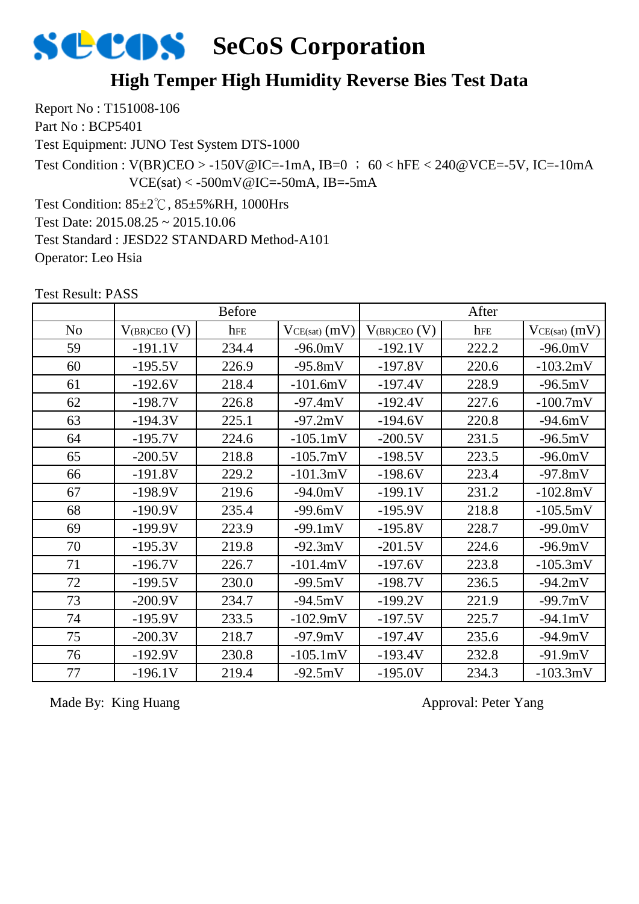

#### **High Temper High Humidity Reverse Bies Test Data**

Report No : T151008-106 Part No : BCP5401

Test Equipment: JUNO Test System DTS-1000

Test Condition :  $V(BR)CEO > -150V@IC = -1mA$ , IB=0 ; 60 < hFE < 240@VCE=-5V, IC=-10mA  $VCE(sat) < -500mV@IC = -50mA$ , IB=-5mA

Test Condition: 85±2℃, 85±5%RH, 1000Hrs Test Date: 2015.08.25 ~ 2015.10.06 Test Standard : JESD22 STANDARD Method-A101 Operator: Leo Hsia

 $\begin{array}{c|c|c|c|c|c|c} \hline \text{No} & \text{V}_{\text{(BR)CEO (V)} & \text{here} & \text{V}_{\text{CE(sat)} (mV)} & \text{V}_{\text{(BR)CEO (V)} & \text{here} & \text{V}_{\text{CE(sat)} (mV)} \hline \end{array}$ Before After 59 | -191.1V | 234.4 | -96.0mV | -192.1V | 222.2 | -96.0mV 60 -195.5V 226.9 -95.8mV -197.8V 220.6 -103.2mV 61 | -192.6V | 218.4 | -101.6mV | -197.4V | 228.9 | -96.5mV 62 | -198.7V | 226.8 | -97.4mV | -192.4V | 227.6 | -100.7mV 63 | -194.3V | 225.1 | -97.2mV | -194.6V | 220.8 | -94.6mV 64 | -195.7V | 224.6 | -105.1mV | -200.5V | 231.5 | -96.5mV 65 | -200.5V | 218.8 | -105.7mV | -198.5V | 223.5 | -96.0mV 66 -191.8V 229.2 -101.3mV -198.6V 223.4 -97.8mV 67 | -198.9V | 219.6 | -94.0mV | -199.1V | 231.2 | -102.8mV 68 | -190.9V | 235.4 | -99.6mV | -195.9V | 218.8 | -105.5mV 69 | -199.9V | 223.9 | -99.1mV | -195.8V | 228.7 | -99.0mV 70 | -195.3V | 219.8 | -92.3mV | -201.5V | 224.6 | -96.9mV 71 | -196.7V | 226.7 | -101.4mV | -197.6V | 223.8 | -105.3mV 72 | -199.5V | 230.0 | -99.5mV | -198.7V | 236.5 | -94.2mV 73 | -200.9V | 234.7 | -94.5mV | -199.2V | 221.9 | -99.7mV 74 | -195.9V | 233.5 | -102.9mV | -197.5V | 225.7 | -94.1mV 75 -200.3V 218.7 -97.9mV -197.4V 235.6 -94.9mV 76 -192.9V 230.8 -105.1mV -193.4V 232.8 -91.9mV 77 | -196.1V | 219.4 | -92.5mV | -195.0V | 234.3 | -103.3mV

Test Result: PASS